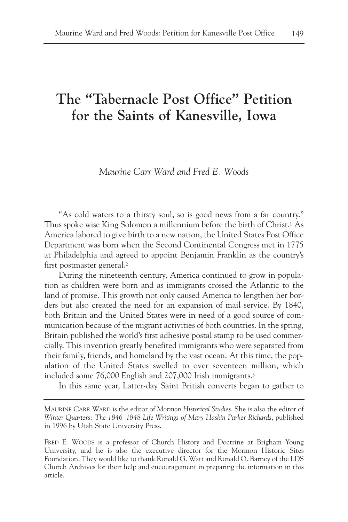## **The "Tabernacle Post Office" Petition for the Saints of Kanesville, Iowa**

## *Maurine Carr Ward and Fred E. Woods*

"As cold waters to a thirsty soul, so is good news from a far country." Thus spoke wise King Solomon a millennium before the birth of Christ.1 As America labored to give birth to a new nation, the United States Post Office Department was born when the Second Continental Congress met in 1775 at Philadelphia and agreed to appoint Benjamin Franklin as the country's first postmaster general.2

During the nineteenth century, America continued to grow in population as children were born and as immigrants crossed the Atlantic to the land of promise. This growth not only caused America to lengthen her borders but also created the need for an expansion of mail service. By 1840, both Britain and the United States were in need of a good source of communication because of the migrant activities of both countries. In the spring, Britain published the world's first adhesive postal stamp to be used commercially. This invention greatly benefited immigrants who were separated from their family, friends, and homeland by the vast ocean. At this time, the population of the United States swelled to over seventeen million, which included some 76,000 English and 207,000 Irish immigrants.3

In this same year, Latter-day Saint British converts began to gather to

MAURINE CARR WARD is the editor of *Mormon Historical Studies*. She is also the editor of *Winter Quarters: The 1846–1848 Life Writings of Mary Haskin Parker Richards*, published in 1996 by Utah State University Press.

FRED E. WOODS is a professor of Church History and Doctrine at Brigham Young University, and he is also the executive director for the Mormon Historic Sites Foundation. They would like to thank Ronald G. Watt and Ronald O. Barney of the LDS Church Archives for their help and encouragement in preparing the information in this article.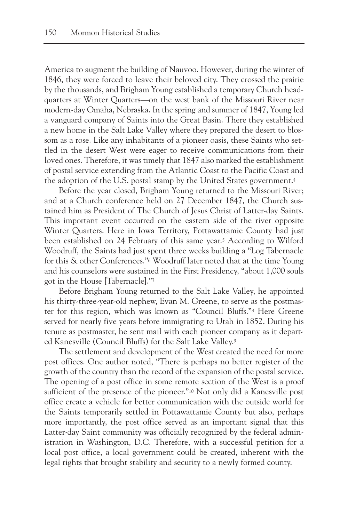America to augment the building of Nauvoo. However, during the winter of 1846, they were forced to leave their beloved city. They crossed the prairie by the thousands, and Brigham Young established a temporary Church headquarters at Winter Quarters—on the west bank of the Missouri River near modern-day Omaha, Nebraska. In the spring and summer of 1847, Young led a vanguard company of Saints into the Great Basin. There they established a new home in the Salt Lake Valley where they prepared the desert to blossom as a rose. Like any inhabitants of a pioneer oasis, these Saints who settled in the desert West were eager to receive communications from their loved ones. Therefore, it was timely that 1847 also marked the establishment of postal service extending from the Atlantic Coast to the Pacific Coast and the adoption of the U.S. postal stamp by the United States government.4

Before the year closed, Brigham Young returned to the Missouri River; and at a Church conference held on 27 December 1847, the Church sustained him as President of The Church of Jesus Christ of Latter-day Saints. This important event occurred on the eastern side of the river opposite Winter Quarters. Here in Iowa Territory, Pottawattamie County had just been established on 24 February of this same year.5 According to Wilford Woodruff, the Saints had just spent three weeks building a "Log Tabernacle for this & other Conferences."6 Woodruff later noted that at the time Young and his counselors were sustained in the First Presidency, "about 1,000 souls got in the House [Tabernacle]."7

Before Brigham Young returned to the Salt Lake Valley, he appointed his thirty-three-year-old nephew, Evan M. Greene, to serve as the postmaster for this region, which was known as "Council Bluffs."8 Here Greene served for nearly five years before immigrating to Utah in 1852. During his tenure as postmaster, he sent mail with each pioneer company as it departed Kanesville (Council Bluffs) for the Salt Lake Valley.9

The settlement and development of the West created the need for more post offices. One author noted, "There is perhaps no better register of the growth of the country than the record of the expansion of the postal service. The opening of a post office in some remote section of the West is a proof sufficient of the presence of the pioneer."10 Not only did a Kanesville post office create a vehicle for better communication with the outside world for the Saints temporarily settled in Pottawattamie County but also, perhaps more importantly, the post office served as an important signal that this Latter-day Saint community was officially recognized by the federal administration in Washington, D.C. Therefore, with a successful petition for a local post office, a local government could be created, inherent with the legal rights that brought stability and security to a newly formed county.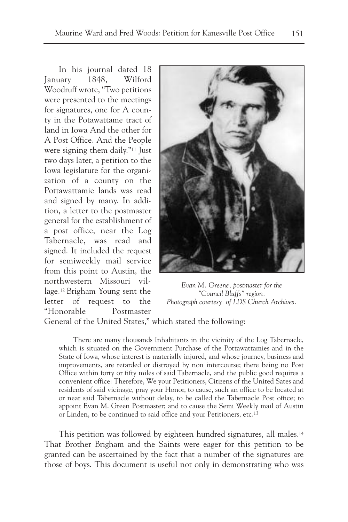In his journal dated 18 January 1848, Wilford Woodruff wrote, "Two petitions were presented to the meetings for signatures, one for A county in the Potawattame tract of land in Iowa And the other for A Post Office. And the People were signing them daily."11 Just two days later, a petition to the Iowa legislature for the organization of a county on the Pottawattamie lands was read and signed by many. In addition, a letter to the postmaster general for the establishment of a post office, near the Log Tabernacle, was read and signed. It included the request for semiweekly mail service from this point to Austin, the northwestern Missouri village.12 Brigham Young sent the letter of request to the "Honorable Postmaster



*Evan M. Greene, postmaster for the "Council Bluffs" region. Photograph courtesy of LDS Church Archives.*

General of the United States," which stated the following:

There are many thousands Inhabitants in the vicinity of the Log Tabernacle, which is situated on the Government Purchase of the Pottawattamies and in the State of Iowa, whose interest is materially injured, and whose journey, business and improvements, are retarded or distroyed by non intercourse; there being no Post Office within forty or fifty miles of said Tabernacle, and the public good requires a convenient office: Therefore, We your Petitioners, Citizens of the United Sates and residents of said vicinage, pray your Honor, to cause, such an office to be located at or near said Tabernacle without delay, to be called the Tabernacle Post office; to appoint Evan M. Green Postmaster; and to cause the Semi Weekly mail of Austin or Linden, to be continued to said office and your Petitioners, etc.13

This petition was followed by eighteen hundred signatures, all males.14 That Brother Brigham and the Saints were eager for this petition to be granted can be ascertained by the fact that a number of the signatures are those of boys. This document is useful not only in demonstrating who was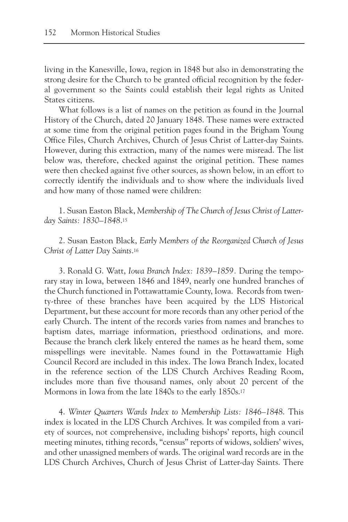living in the Kanesville, Iowa, region in 1848 but also in demonstrating the strong desire for the Church to be granted official recognition by the federal government so the Saints could establish their legal rights as United States citizens.

What follows is a list of names on the petition as found in the Journal History of the Church, dated 20 January 1848. These names were extracted at some time from the original petition pages found in the Brigham Young Office Files, Church Archives, Church of Jesus Christ of Latter-day Saints. However, during this extraction, many of the names were misread. The list below was, therefore, checked against the original petition. These names were then checked against five other sources, as shown below, in an effort to correctly identify the individuals and to show where the individuals lived and how many of those named were children:

1. Susan Easton Black, *Membership of The Church of Jesus Christ of Latterday Saints: 1830–1848*.15

2. Susan Easton Black, *Early Members of the Reorganized Church of Jesus Christ of Latter Day Saints*.16

3. Ronald G. Watt, *Iowa Branch Index: 1839–1859.* During the temporary stay in Iowa, between 1846 and 1849, nearly one hundred branches of the Church functioned in Pottawattamie County, Iowa. Records from twenty-three of these branches have been acquired by the LDS Historical Department, but these account for more records than any other period of the early Church. The intent of the records varies from names and branches to baptism dates, marriage information, priesthood ordinations, and more. Because the branch clerk likely entered the names as he heard them, some misspellings were inevitable. Names found in the Pottawattamie High Council Record are included in this index. The Iowa Branch Index, located in the reference section of the LDS Church Archives Reading Room, includes more than five thousand names, only about 20 percent of the Mormons in Iowa from the late 1840s to the early 1850s.17

4. *Winter Quarters Wards Index to Membership Lists: 1846–1848*. This index is located in the LDS Church Archives. It was compiled from a variety of sources, not comprehensive, including bishops' reports, high council meeting minutes, tithing records, "census" reports of widows, soldiers' wives, and other unassigned members of wards. The original ward records are in the LDS Church Archives, Church of Jesus Christ of Latter-day Saints. There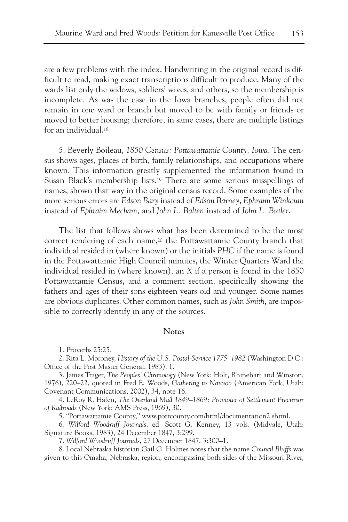are a few problems with the index. Handwriting in the original record is difficult to read, making exact transcriptions difficult to produce. Many of the wards list only the widows, soldiers' wives, and others, so the membership is incomplete. As was the case in the Iowa branches, people often did not remain in one ward or branch but moved to be with family or friends or moved to better housing; therefore, in same cases, there are multiple listings for an individual.18

5. Beverly Boileau, *1850 Census: Pottawattamie County, Iowa*. The census shows ages, places of birth, family relationships, and occupations where known. This information greatly supplemented the information found in Susan Black's membership lists.19 There are some serious misspellings of names, shown that way in the original census record. Some examples of the more serious errors are *Edson Bary* instead of *Edson Barney*, *Ephraim Winkcum* instead of *Ephraim Mecham*, and *John L. Balten* instead of *John L. Butler*.

The list that follows shows what has been determined to be the most correct rendering of each name,20 the Pottawattamie County branch that individual resided in (where known) or the initials *PHC* if the name is found in the Pottawattamie High Council minutes, the Winter Quarters Ward the individual resided in (where known), an *X* if a person is found in the 1850 Pottawattamie Census, and a comment section, specifically showing the fathers and ages of their sons eighteen years old and younger. Some names are obvious duplicates. Other common names, such as *John Smith*, are impossible to correctly identify in any of the sources.

## **Notes**

1. Proverbs 25:25.

2. Rita L. Moroney, *History of the U.S. Postal-Service 1775–1982* (Washington D.C.: Office of the Post Master General, 1983), 1.

3. James Trager, *The Peoples' Chronology* (New York: Holt, Rhinehart and Winston, 1976), 220–22, quoted in Fred E. Woods, *Gathering to Nauvoo* (American Fork, Utah: Covenant Communications, 2002), 34, note 16.

4. LeRoy R. Hafen, *The Overland Mail 1849–1869: Promoter of Settlement Precursor of Railroads* (New York: AMS Press, 1969), 30.

5. "Pottawattamie County," www.pottcounty.com/html/documentation2.shtml.

6. *Wilford Woodruff Journals*, ed. Scott G. Kenney, 13 vols. (Midvale, Utah: Signature Books, 1983), 24 December 1847, 3:299.

7. *Wilford Woodruff Journals*, 27 December 1847, 3:300–1.

8. Local Nebraska historian Gail G. Holmes notes that the name *Council Bluffs* was given to this Omaha, Nebraska, region, encompassing both sides of the Missouri River,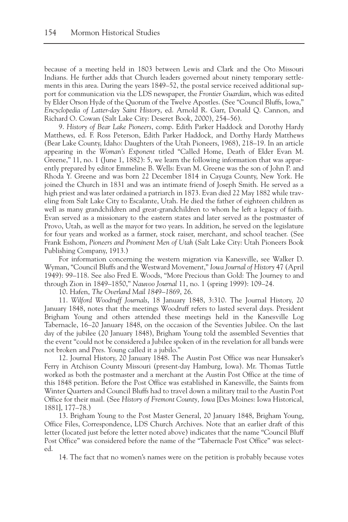because of a meeting held in 1803 between Lewis and Clark and the Oto Missouri Indians. He further adds that Church leaders governed about ninety temporary settlements in this area. During the years 1849–52, the postal service received additional support for communication via the LDS newspaper, the *Frontier Guardian*, which was edited by Elder Orson Hyde of the Quorum of the Twelve Apostles. (See "Council Bluffs, Iowa," *Encyclopedia of Latter-day Saint History*, ed. Arnold R. Garr, Donald Q. Cannon, and Richard O. Cowan (Salt Lake City: Deseret Book, 2000), 254–56).

9. *History of Bear Lake Pioneers*, comp. Edith Parker Haddock and Dorothy Hardy Matthews, ed. F. Ross Peterson, Edith Parker Haddock, and Dorthy Hardy Matthews (Bear Lake County, Idaho: Daughters of the Utah Pioneers, 1968), 218–19. In an article appearing in the *Woman's Exponent* titled "Called Home, Death of Elder Evan M. Greene," 11, no. 1 (June 1, 1882): 5, we learn the following information that was apparently prepared by editor Emmeline B. Wells: Evan M. Greene was the son of John P. and Rhoda Y. Greene and was born 22 December 1814 in Cayuga County, New York. He joined the Church in 1831 and was an intimate friend of Joseph Smith. He served as a high priest and was later ordained a patriarch in 1873. Evan died 22 May 1882 while traveling from Salt Lake City to Escalante, Utah. He died the father of eighteen children as well as many grandchildren and great-grandchildren to whom he left a legacy of faith. Evan served as a missionary to the eastern states and later served as the postmaster of Provo, Utah, as well as the mayor for two years. In addition, he served on the legislature for four years and worked as a farmer, stock raiser, merchant, and school teacher. (See Frank Esshom, *Pioneers and Prominent Men of Utah* (Salt Lake City: Utah Pioneers Book Publishing Company, 1913.)

For information concerning the western migration via Kanesville, see Walker D. Wyman, "Council Bluffs and the Westward Movement," *Iowa Journal of History* 47 (April 1949): 99–118. See also Fred E. Woods, "More Precious than Gold: The Journey to and through Zion in 1849–1850," *Nauvoo Journal* 11, no. 1 (spring 1999): 109–24.

10. Hafen, *The Overland Mail 1849–1869*, 26.

11. *Wilford Woodruff Journals*, 18 January 1848, 3:310. The Journal History, 20 January 1848, notes that the meetings Woodruff refers to lasted several days. President Brigham Young and others attended these meetings held in the Kanesville Log Tabernacle, 16–20 January 1848, on the occasion of the Seventies Jubilee. On the last day of the jubilee (20 January 1848), Brigham Young told the assembled Seventies that the event "could not be considered a Jubilee spoken of in the revelation for all bands were not broken and Pres. Young called it a jubilo."

12. Journal History, 20 January 1848. The Austin Post Office was near Hunsaker's Ferry in Atchison County Missouri (present-day Hamburg, Iowa). Mr. Thomas Tuttle worked as both the postmaster and a merchant at the Austin Post Office at the time of this 1848 petition. Before the Post Office was established in Kanesville, the Saints from Winter Quarters and Council Bluffs had to travel down a military trail to the Austin Post Office for their mail. (See *History of Fremont County, Iowa* [Des Moines: Iowa Historical, 1881], 177–78.)

13. Brigham Young to the Post Master General, 20 January 1848, Brigham Young, Office Files, Correspondence, LDS Church Archives. Note that an earlier draft of this letter (located just before the letter noted above) indicates that the name "Council Bluff Post Office" was considered before the name of the "Tabernacle Post Office" was selected.

14. The fact that no women's names were on the petition is probably because votes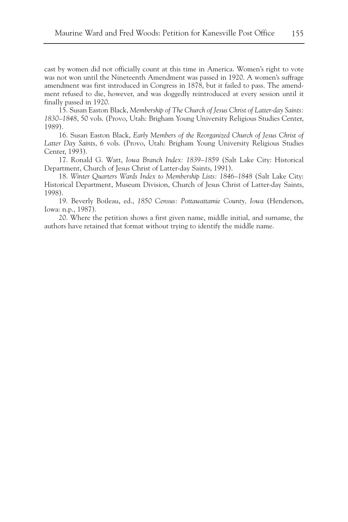cast by women did not officially count at this time in America. Women's right to vote was not won until the Nineteenth Amendment was passed in 1920. A women's suffrage amendment was first introduced in Congress in 1878, but it failed to pass. The amendment refused to die, however, and was doggedly reintroduced at every session until it finally passed in 1920.

15. Susan Easton Black, *Membership of The Church of Jesus Christ of Latter-day Saints: 1830–1848*, 50 vols. (Provo, Utah: Brigham Young University Religious Studies Center, 1989).

16. Susan Easton Black, *Early Members of the Reorganized Church of Jesus Christ of Latter Day Saints*, 6 vols. (Provo, Utah: Brigham Young University Religious Studies Center, 1993).

17. Ronald G. Watt, *Iowa Branch Index: 1839–1859* (Salt Lake City: Historical Department, Church of Jesus Christ of Latter-day Saints, 1991).

18. *Winter Quarters Wards Index to Membership Lists: 1846–1848* (Salt Lake City: Historical Department, Museum Division, Church of Jesus Christ of Latter-day Saints, 1998).

19. Beverly Boileau, ed., *1850 Census: Pottawattamie County, Iowa* (Henderson, Iowa: n.p., 1987).

20. Where the petition shows a first given name, middle initial, and surname, the authors have retained that format without trying to identify the middle name.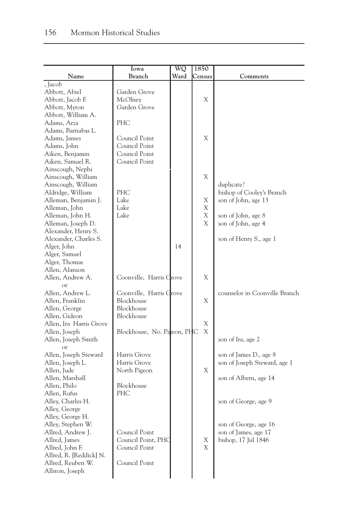|                         | Iowa                        | WQ   | 1850   |                               |
|-------------------------|-----------------------------|------|--------|-------------------------------|
| Name                    | <b>Branch</b>               | Ward | Census | Comments                      |
| , Jacob                 |                             |      |        |                               |
| Abbott, Abiel           | Garden Grove                |      |        |                               |
| Abbott, Jacob F.        | McOlney                     |      | Χ      |                               |
| Abbott, Myron           | Garden Grove                |      |        |                               |
| Abbott, William A.      |                             |      |        |                               |
| Adams, Arza             | <b>PHC</b>                  |      |        |                               |
| Adams, Barnabas L.      |                             |      |        |                               |
| Adams, James            | Council Point               |      | X      |                               |
| Adams, John             | Council Point               |      |        |                               |
| Aiken, Benjamin         | Council Point               |      |        |                               |
| Aiken, Samuel R.        | Council Point               |      |        |                               |
| Ainscough, Nephi        |                             |      |        |                               |
| Ainscough, William      |                             |      | Χ      |                               |
| Ainscough, William      |                             |      |        | duplicate?                    |
| Aldridge, William       | PHC                         |      |        | bishop of Cooley's Branch     |
| Alleman, Benjamin J.    | Lake                        |      | Χ      | son of John, age 13           |
| Alleman, John           | Lake                        |      | Χ      |                               |
| Alleman, John H.        | Lake                        |      | Χ      | son of John, age 8            |
| Alleman, Joseph D.      |                             |      | Χ      | son of John, age 4            |
| Alexander, Henry S.     |                             |      |        |                               |
| Alexander, Charles S.   |                             |      |        | son of Henry S., age 1        |
| Alger, John             |                             | 14   |        |                               |
| Alger, Samuel           |                             |      |        |                               |
| Alger, Thomas           |                             |      |        |                               |
| Allen, Alanson          |                             |      |        |                               |
| Allen, Andrew A.        | Coonville, Harris Grove     |      | X      |                               |
| $\alpha$ <sup>r</sup>   |                             |      |        |                               |
| Allen, Andrew L.        | Coonville, Harris Grove     |      |        | counselor in Coonville Branch |
| Allen, Franklin         | Blockhouse                  |      | Χ      |                               |
| Allen, George           | Blockhouse                  |      |        |                               |
| Allen, Gideon           | Blockhouse                  |      |        |                               |
| Allen, Ira Harris Grove |                             |      | Χ      |                               |
| Allen, Joseph           | Blockhouse, No. Pigeon, PHC |      | X      |                               |
| Allen, Joseph Smith     |                             |      |        | son of Ira, age 2             |
| $\alpha$ r              |                             |      |        |                               |
| Allen, Joseph Steward   | Harris Grove                |      |        | son of James D., age 8        |
| Allen, Joseph L.        | Harris Grove                |      |        | son of Joseph Steward, age 1  |
| Allen, Jude             | North Pigeon                |      | X      |                               |
| Allen, Marshall         |                             |      |        | son of Albern, age 14         |
| Allen, Philo            | Blockhouse                  |      |        |                               |
| Allen, Rufus            | PHC                         |      |        |                               |
| Alley, Charles H.       |                             |      |        | son of George, age 9          |
| Alley, George           |                             |      |        |                               |
| Alley, George H.        |                             |      |        |                               |
| Alley, Stephen W.       |                             |      |        | son of George, age 16         |
| Allred, Andrew J.       | Council Point               |      |        | son of James, age 17          |
| Allred, James           | Council Point, PHC          |      | Χ      | bishop, 17 Jul 1846           |
| Allred, John F.         | Council Point               |      | X      |                               |
| Allred, R. [Reddick] N. |                             |      |        |                               |
| Allred, Reuben W.       | Council Point               |      |        |                               |
| Allston, Joseph         |                             |      |        |                               |
|                         |                             |      |        |                               |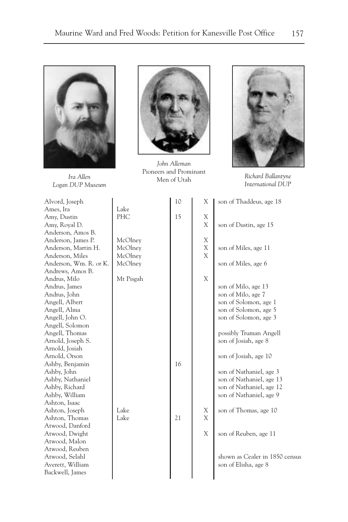

*Logan DUP Museum*



*John Alleman* Pioneers and Prominant *Ira Allen Ironeers* and *Ironeers* and *Ironeers* and *Ironeers* and *Ironeers* and *Ironeers* and *Ironeers* and *Ironeers* and *Ironeers* and *Ironeers* and *Ironeers* and *Ironeers* and *Ironeers* and *Ironeers* and



*Richard Ballantyne International DUP*

| Alvord, Joseph         |           | 10 | X | son of Thaddeus, age 18        |
|------------------------|-----------|----|---|--------------------------------|
| Ames, Ira              | Lake      |    |   |                                |
| Amy, Dustin            | PHC       | 15 | Χ |                                |
| Amy, Royal D.          |           |    | X | son of Dustin, age 15          |
| Anderson, Amos B.      |           |    |   |                                |
| Anderson, James P.     | McOlney   |    | X |                                |
| Anderson, Martin H.    | McOlney   |    | X | son of Miles, age 11           |
| Anderson, Miles        | McOlney   |    | X |                                |
| Anderson, Wm. R. or K. | McOlney   |    |   | son of Miles, age 6            |
| Andrews, Amos B.       |           |    |   |                                |
| Andrus, Milo           | Mt Pisgah |    | X |                                |
| Andrus, James          |           |    |   | son of Milo, age 13            |
| Andrus, John           |           |    |   | son of Milo, age 7             |
| Angell, Albert         |           |    |   | son of Solomon, age 1          |
| Angell, Alma           |           |    |   | son of Solomon, age 5          |
| Angell, John O.        |           |    |   | son of Solomon, age 3          |
| Angell, Solomon        |           |    |   |                                |
| Angell, Thomas         |           |    |   | possibly Truman Angell         |
| Arnold, Joseph S.      |           |    |   | son of Josiah, age 8           |
| Arnold, Josiah         |           |    |   |                                |
| Arnold, Orson          |           |    |   | son of Josiah, age 10          |
| Ashby, Benjamin        |           | 16 |   |                                |
| Ashby, John            |           |    |   | son of Nathaniel, age 3        |
| Ashby, Nathaniel       |           |    |   | son of Nathaniel, age 13       |
| Ashby, Richard         |           |    |   | son of Nathaniel, age 12       |
| Ashby, William         |           |    |   | son of Nathaniel, age 9        |
| Ashton, Isaac          |           |    |   |                                |
| Ashton, Joseph         | Lake      |    | X | son of Thomas, age 10          |
| Ashton, Thomas         | Lake      | 21 | X |                                |
| Atwood, Danford        |           |    |   |                                |
| Atwood, Dwight         |           |    | X | son of Reuben, age 11          |
| Atwood, Malon          |           |    |   |                                |
| Atwood, Reuben         |           |    |   |                                |
| Atwood, Selahl         |           |    |   | shown as Cealer in 1850 census |
| Averett, William       |           |    |   | son of Elisha, age 8           |
| Backwell, James        |           |    |   |                                |
|                        |           |    |   |                                |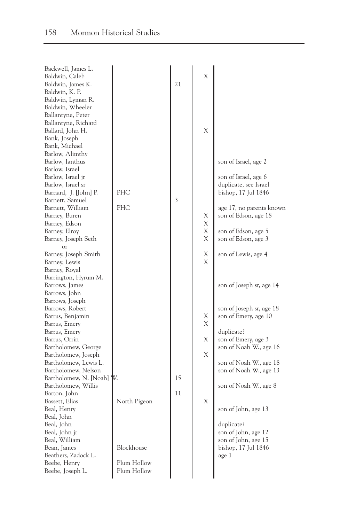| Backwell, James L.<br>Baldwin, Caleb<br>Baldwin, James K.<br>Baldwin, K. P.<br>Baldwin, Lyman R.<br>Baldwin, Wheeler<br>Ballantyne, Peter                                                                                                                                                                                  |                                                                | 21       | X                     |                                                                                                                                                                                                |
|----------------------------------------------------------------------------------------------------------------------------------------------------------------------------------------------------------------------------------------------------------------------------------------------------------------------------|----------------------------------------------------------------|----------|-----------------------|------------------------------------------------------------------------------------------------------------------------------------------------------------------------------------------------|
| Ballantyne, Richard<br>Ballard, John H.<br>Bank, Joseph<br>Bank, Michael<br>Barlow, Alimthy<br>Barlow, Ianthus<br>Barlow, Israel<br>Barlow, Israel jr<br>Barlow, Israel sr<br>Barnard, J. [John] P.<br>Barnett, Samuel<br>Barnett, William<br>Barney, Buren<br>Barney, Edson<br>Barney, Elroy<br>Barney, Joseph Seth<br>or | <b>PHC</b><br>PHC                                              | 3        | X<br>Χ<br>Χ<br>Χ<br>Χ | son of Israel, age 2<br>son of Israel, age 6<br>duplicate, see Israel<br>bishop, 17 Jul 1846<br>age 17, no parents known<br>son of Edson, age 18<br>son of Edson, age 5<br>son of Edson, age 3 |
| Barney, Joseph Smith<br>Barney, Lewis<br>Barney, Royal<br>Barrington, Hyrum M.<br>Barrows, James<br>Barrows, John<br>Barrows, Joseph<br>Barrows, Robert<br>Barrus, Benjamin<br>Barrus, Emery<br>Barrus, Emery<br>Barrus, Orrin<br>Bartholomew, George                                                                      |                                                                |          | Χ<br>X<br>Х<br>X<br>Χ | son of Lewis, age 4<br>son of Joseph sr, age 14<br>son of Joseph sr, age 18<br>son of Emery, age 10<br>duplicate?<br>son of Emery, age 3<br>son of Noah W., age 16                             |
| Bartholomew, Joseph<br>Bartholomew, Lewis L.<br>Bartholomew, Nelson<br>Bartholomew, N. [Noah]<br>Bartholomew, Willis<br>Barton, John<br>Bassett, Elias<br>Beal, Henry<br>Beal, John<br>Beal, John<br>Beal, John jr<br>Beal, William<br>Bean, James<br>Beathers, Zadock L.<br>Beebe, Henry<br>Beebe, Joseph L.              | W.<br>North Pigeon<br>Blockhouse<br>Plum Hollow<br>Plum Hollow | 15<br>11 | Χ<br>Χ                | son of Noah W., age 18<br>son of Noah W., age 13<br>son of Noah W., age 8<br>son of John, age 13<br>duplicate?<br>son of John, age 12<br>son of John, age 15<br>bishop, 17 Jul 1846<br>age 1   |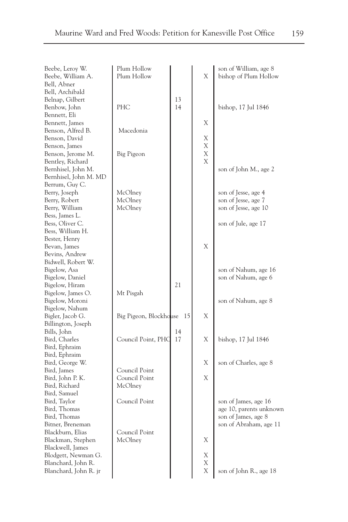| Beebe, Leroy W.       | Plum Hollow            |    |   | son of William, age 8   |
|-----------------------|------------------------|----|---|-------------------------|
| Beebe, William A.     | Plum Hollow            |    | X | bishop of Plum Hollow   |
| Bell, Abner           |                        |    |   |                         |
| Bell, Archibald       |                        |    |   |                         |
| Belnap, Gilbert       |                        | 13 |   |                         |
| Benbow, John          | PHC                    | 14 |   | bishop, 17 Jul 1846     |
| Bennett, Eli          |                        |    |   |                         |
| Bennett, James        |                        |    | Χ |                         |
| Benson, Alfred B.     | Macedonia              |    |   |                         |
| Benson, David         |                        |    | Х |                         |
| Benson, James         |                        |    | X |                         |
| Benson, Jerome M.     | Big Pigeon             |    | X |                         |
| Bentley, Richard      |                        |    | Χ |                         |
| Bernhisel, John M.    |                        |    |   | son of John M., age 2   |
| Bernhisel, John M. MD |                        |    |   |                         |
| Berrum, Guy C.        |                        |    |   |                         |
| Berry, Joseph         | McOlney                |    |   | son of Jesse, age 4     |
| Berry, Robert         | McOlney                |    |   | son of Jesse, age 7     |
| Berry, William        | McOlney                |    |   | son of Jesse, age 10    |
| Bess, James L.        |                        |    |   |                         |
| Bess, Oliver C.       |                        |    |   | son of Jule, age 17     |
| Bess, William H.      |                        |    |   |                         |
| Bester, Henry         |                        |    |   |                         |
| Bevan, James          |                        |    | X |                         |
| Bevins, Andrew        |                        |    |   |                         |
| Bidwell, Robert W.    |                        |    |   |                         |
| Bigelow, Asa          |                        |    |   | son of Nahum, age 16    |
| Bigelow, Daniel       |                        |    |   | son of Nahum, age 6     |
| Bigelow, Hiram        |                        | 21 |   |                         |
| Bigelow, James O.     | Mt Pisgah              |    |   |                         |
| Bigelow, Moroni       |                        |    |   | son of Nahum, age 8     |
| Bigelow, Nahum        |                        |    |   |                         |
| Bigler, Jacob G.      | Big Pigeon, Blockhouse | 15 | Χ |                         |
| Billington, Joseph    |                        |    |   |                         |
| Bills, John           |                        | 14 |   |                         |
| Bird, Charles         | Council Point, PHC     | 17 | Χ | bishop, 17 Jul 1846     |
| Bird, Ephraim         |                        |    |   |                         |
| Bird, Ephraim         |                        |    |   |                         |
| Bird, George W.       |                        |    | Χ | son of Charles, age 8   |
| Bird, James           | Council Point          |    |   |                         |
| Bird, John P. K.      | Council Point          |    | Χ |                         |
| Bird, Richard         | McOlney                |    |   |                         |
|                       |                        |    |   |                         |
| Bird, Samuel          | Council Point          |    |   |                         |
| Bird, Taylor          |                        |    |   | son of James, age 16    |
| Bird, Thomas          |                        |    |   | age 10, parents unknown |
| Bird, Thomas          |                        |    |   | son of James, age 8     |
| Bitner, Breneman      |                        |    |   | son of Abraham, age 11  |
| Blackburn, Elias      | Council Point          |    |   |                         |
| Blackman, Stephen     | McOlney                |    | X |                         |
| Blackwell, James      |                        |    |   |                         |
| Blodgett, Newman G.   |                        |    | Х |                         |
| Blanchard, John R.    |                        |    | Χ |                         |
| Blanchard, John R. jr |                        |    | X | son of John R., age 18  |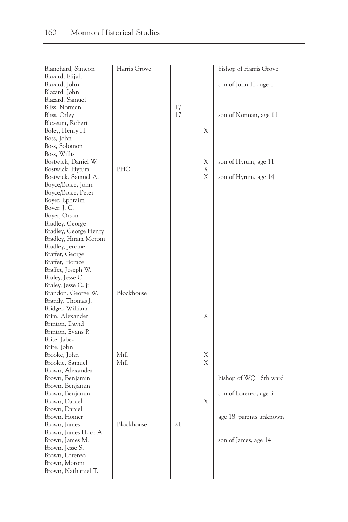| Blanchard, Simeon               | Harris Grove |    |   | bishop of Harris Grove  |
|---------------------------------|--------------|----|---|-------------------------|
| Blazard, Elijah                 |              |    |   |                         |
| Blazard, John                   |              |    |   | son of John H., age 1   |
| Blazard, John                   |              |    |   |                         |
| Blazard, Samuel                 |              |    |   |                         |
| Bliss, Norman                   |              | 17 |   |                         |
| Bliss, Orley                    |              | 17 |   | son of Norman, age 11   |
| Bloseum, Robert                 |              |    |   |                         |
| Boley, Henry H.                 |              |    | Χ |                         |
| Boss, John                      |              |    |   |                         |
| Boss, Solomon<br>Boss, Willis   |              |    |   |                         |
| Bostwick, Daniel W.             |              |    | Х | son of Hyrum, age 11    |
| Bostwick, Hyrum                 | PHC          |    | X |                         |
| Bostwick, Samuel A.             |              |    | Χ | son of Hyrum, age 14    |
| Boyce/Boice, John               |              |    |   |                         |
| Boyce/Boice, Peter              |              |    |   |                         |
| Boyer, Ephraim                  |              |    |   |                         |
| Boyer, J. C.                    |              |    |   |                         |
| Boyer, Orson                    |              |    |   |                         |
| Bradley, George                 |              |    |   |                         |
| Bradley, George Henry           |              |    |   |                         |
| Bradley, Hiram Moroni           |              |    |   |                         |
| Bradley, Jerome                 |              |    |   |                         |
| Braffet, George                 |              |    |   |                         |
| Braffet, Horace                 |              |    |   |                         |
| Braffet, Joseph W.              |              |    |   |                         |
| Braley, Jesse C.                |              |    |   |                         |
| Braley, Jesse C. jr             |              |    |   |                         |
| Brandon, George W.              | Blockhouse   |    |   |                         |
| Brandy, Thomas J.               |              |    |   |                         |
| Bridger, William                |              |    |   |                         |
| Brim, Alexander                 |              |    | Χ |                         |
| Brinton, David                  |              |    |   |                         |
| Brinton, Evans P.               |              |    |   |                         |
| Brite, Jabez                    |              |    |   |                         |
| Brite, John                     |              |    |   |                         |
| Brooke, John                    | Mill         |    | Х |                         |
| Brookie, Samuel                 | Mill         |    | X |                         |
| Brown, Alexander                |              |    |   |                         |
| Brown, Benjamin                 |              |    |   | bishop of WQ 16th ward  |
| Brown, Benjamin                 |              |    |   |                         |
| Brown, Benjamin                 |              |    |   | son of Lorenzo, age 3   |
| Brown, Daniel                   |              |    | Χ |                         |
| Brown, Daniel                   |              |    |   |                         |
| Brown, Homer                    |              |    |   | age 18, parents unknown |
| Brown, James                    | Blockhouse   | 21 |   |                         |
| Brown, James H. or A.           |              |    |   |                         |
| Brown, James M.                 |              |    |   | son of James, age 14    |
| Brown, Jesse S.                 |              |    |   |                         |
| Brown, Lorenzo<br>Brown, Moroni |              |    |   |                         |
| Brown, Nathaniel T.             |              |    |   |                         |
|                                 |              |    |   |                         |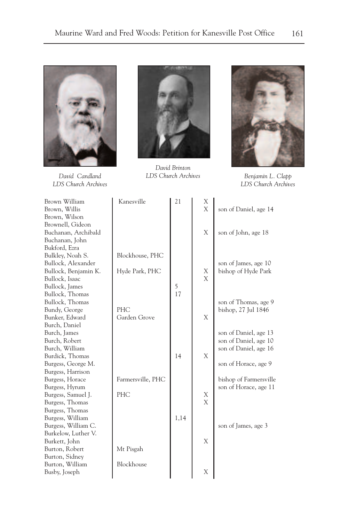

*David Candland LDS Church Archives*



*David Brinton LDS Church Archives Benjamin L. Clapp*



*LDS Church Archives*

| Brown William<br>Brown, Willis | Kanesville        | 21   | X<br>X | son of Daniel, age 14  |
|--------------------------------|-------------------|------|--------|------------------------|
| Brown, Wilson                  |                   |      |        |                        |
| Brownell, Gideon               |                   |      |        |                        |
| Buchanan, Archibald            |                   |      | X      | son of John, age 18    |
| Buchanan, John                 |                   |      |        |                        |
| Bukford, Ezra                  |                   |      |        |                        |
| Bulkley, Noah S.               | Blockhouse, PHC   |      |        |                        |
| Bullock, Alexander             |                   |      |        | son of James, age 10   |
| Bullock, Benjamin K.           | Hyde Park, PHC    |      | X      | bishop of Hyde Park    |
| Bullock, Isaac                 |                   |      | X      |                        |
| Bullock, James                 |                   | 5    |        |                        |
| Bullock, Thomas                |                   | 17   |        |                        |
| Bullock, Thomas                |                   |      |        | son of Thomas, age 9   |
| Bundy, George                  | PHC               |      |        | bishop, 27 Jul 1846    |
| Bunker, Edward                 | Garden Grove      |      | X      |                        |
| Burch, Daniel                  |                   |      |        |                        |
| Burch, James                   |                   |      |        | son of Daniel, age 13  |
| Burch, Robert                  |                   |      |        | son of Daniel, age 10  |
| Burch, William                 |                   |      |        | son of Daniel, age 16  |
| Burdick, Thomas                |                   | 14   | X      |                        |
| Burgess, George M.             |                   |      |        | son of Horace, age 9   |
| Burgess, Harrison              |                   |      |        |                        |
| Burgess, Horace                | Farmersville, PHC |      |        | bishop of Farmersville |
| Burgess, Hyrum                 |                   |      |        | son of Horace, age 11  |
| Burgess, Samuel J.             | <b>PHC</b>        |      | Х      |                        |
| Burgess, Thomas                |                   |      | X      |                        |
| Burgess, Thomas                |                   |      |        |                        |
| Burgess, William               |                   | 1,14 |        |                        |
| Burgess, William C.            |                   |      |        | son of James, age 3    |
| Burkelow, Luther V.            |                   |      |        |                        |
| Burkett, John                  |                   |      | X      |                        |
| Burton, Robert                 | Mt Pisgah         |      |        |                        |
| Burton, Sidney                 |                   |      |        |                        |
| Burton, William                | Blockhouse        |      |        |                        |
| Busby, Joseph                  |                   |      | Χ      |                        |
|                                |                   |      |        |                        |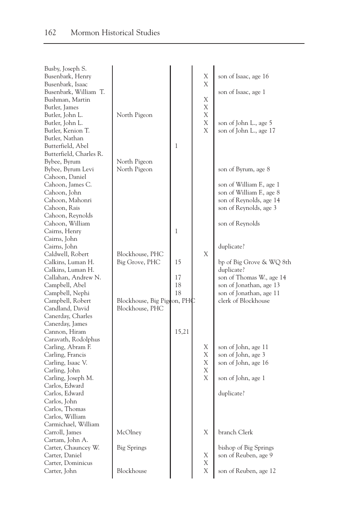| Busby, Joseph S.<br>Busenbark, Henry<br>Busenbark, Isaac<br>Busenbark, William T.<br>Bushman, Martin<br>Butler, James<br>Butler, John L.<br>Butler, John L.                                                                                           | North Pigeon                                                                        |                      | Χ<br>Χ<br>Х<br>X<br>Χ<br>X | son of Isaac, age 16<br>son of Isaac, age 1                                                                                                                   |
|-------------------------------------------------------------------------------------------------------------------------------------------------------------------------------------------------------------------------------------------------------|-------------------------------------------------------------------------------------|----------------------|----------------------------|---------------------------------------------------------------------------------------------------------------------------------------------------------------|
| Butler, Kenion T.<br>Butler, Nathan<br>Butterfield, Abel<br>Butterfield, Charles R.<br>Bybee, Byrum<br>Bybee, Byrum Levi                                                                                                                              | North Pigeon<br>North Pigeon                                                        | 1                    | X                          | son of John L., age 5<br>son of John L., age 17<br>son of Byrum, age 8                                                                                        |
| Cahoon, Daniel<br>Cahoon, James C.<br>Cahoon, John<br>Cahoon, Mahonri<br>Cahoon, Rais<br>Cahoon, Reynolds<br>Cahoon, William<br>Cairns, Henry                                                                                                         |                                                                                     | 1                    |                            | son of William F., age 1<br>son of William F., age 8<br>son of Reynolds, age 14<br>son of Reynolds, age 3<br>son of Reynolds                                  |
| Cairns, John<br>Cairns, John<br>Caldwell, Robert<br>Calkins, Luman H.<br>Calkins, Luman H.<br>Callahan, Andrew N.<br>Campbell, Abel<br>Campbell, Nephi<br>Campbell, Robert<br>Candland, David<br>Canerday, Charles                                    | Blockhouse, PHC<br>Big Grove, PHC<br>Blockhouse, Big Pigcon, PHC<br>Blockhouse, PHC | 15<br>17<br>18<br>18 | X                          | duplicate?<br>bp of Big Grove & WQ 8th<br>duplicate?<br>son of Thomas W., age 14<br>son of Jonathan, age 13<br>son of Jonathan, age 11<br>clerk of Blockhouse |
| Canerday, James<br>Cannon, Hiram<br>Caravath, Rodolphus<br>Carling, Abram F.<br>Carling, Francis<br>Carling, Isaac V.<br>Carling, John<br>Carling, Joseph M.<br>Carlos, Edward<br>Carlos, Edward<br>Carlos, John<br>Carlos, Thomas<br>Carlos, William |                                                                                     | 15,21                | Χ<br>Χ<br>Χ<br>Χ<br>X      | son of John, age 11<br>son of John, age 3<br>son of John, age 16<br>son of John, age 1<br>duplicate?                                                          |
| Carmichael, William<br>Carroll, James<br>Cartam, John A.                                                                                                                                                                                              | McOlney                                                                             |                      | Χ                          | branch Clerk                                                                                                                                                  |
| Carter, Chauncey W.<br>Carter, Daniel<br>Carter, Dominicus                                                                                                                                                                                            | Big Springs                                                                         |                      | Χ<br>Х                     | bishop of Big Springs<br>son of Reuben, age 9                                                                                                                 |
| Carter, John                                                                                                                                                                                                                                          | Blockhouse                                                                          |                      | X                          | son of Reuben, age 12                                                                                                                                         |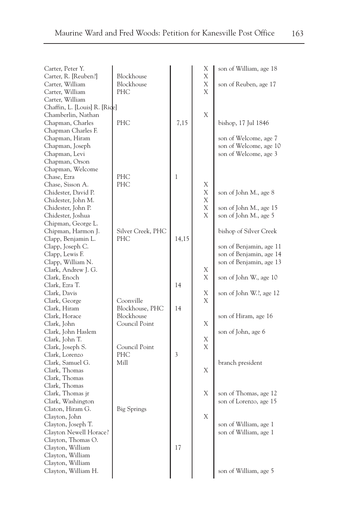| Carter, Peter Y.<br>Carter, R. [Reuben?] | Blockhouse        |       | Χ<br>X | son of William, age 18  |
|------------------------------------------|-------------------|-------|--------|-------------------------|
|                                          | Blockhouse        |       | Χ      |                         |
| Carter, William                          | PHC               |       | Χ      | son of Reuben, age 17   |
| Carter, William                          |                   |       |        |                         |
| Carter, William                          |                   |       |        |                         |
| Chaffin, L. [Louis] R. [Rice]            |                   |       |        |                         |
| Chamberlin, Nathan                       |                   |       | Χ      |                         |
| Chapman, Charles                         | PHC               | 7,15  |        | bishop, 17 Jul 1846     |
| Chapman Charles F.                       |                   |       |        |                         |
| Chapman, Hiram                           |                   |       |        | son of Welcome, age 7   |
| Chapman, Joseph                          |                   |       |        | son of Welcome, age 10  |
| Chapman, Levi                            |                   |       |        | son of Welcome, age 3   |
| Chapman, Orson                           |                   |       |        |                         |
| Chapman, Welcome                         |                   |       |        |                         |
| Chase, Ezra                              | PHC               | 1     |        |                         |
| Chase, Sisson A.                         | PHC               |       | Х      |                         |
| Chidester, David P.                      |                   |       | Х      | son of John M., age 8   |
| Chidester, John M.                       |                   |       | X      |                         |
| Chidester, John P.                       |                   |       | Х      | son of John M., age 15  |
| Chidester, Joshua                        |                   |       | X      | son of John M., age 5   |
| Chipman, George L.                       |                   |       |        |                         |
| Chipman, Harmon J.                       | Silver Creek, PHC |       |        | bishop of Silver Creek  |
| Clapp, Benjamin L.                       | PHC               | 14,15 |        |                         |
| Clapp, Joseph C.                         |                   |       |        | son of Benjamin, age 11 |
| Clapp, Lewis F.                          |                   |       |        | son of Benjamin, age 14 |
| Clapp, William N.                        |                   |       |        | son of Benjamin, age 13 |
| Clark, Andrew J. G.                      |                   |       | Χ      |                         |
| Clark, Enoch                             |                   |       | X      | son of John W., age 10  |
| Clark, Ezra T.                           |                   | 14    |        |                         |
| Clark, Davis                             |                   |       | Χ      | son of John W.?, age 12 |
| Clark, George                            | Coonville         |       | X      |                         |
| Clark, Hiram                             | Blockhouse, PHC   | 14    |        |                         |
| Clark, Horace                            | Blockhouse        |       |        | son of Hiram, age 16    |
| Clark, John                              | Council Point     |       | Х      |                         |
| Clark, John Haslem                       |                   |       |        | son of John, age 6      |
|                                          |                   |       | Х      |                         |
| Clark, John T.<br>Clark, Joseph S.       | Council Point     |       | Χ      |                         |
| Clark, Lorenzo                           | PHC               | 3     |        |                         |
| Clark, Samuel G.                         | Mill              |       |        |                         |
|                                          |                   |       | X      | branch president        |
| Clark, Thomas                            |                   |       |        |                         |
| Clark, Thomas                            |                   |       |        |                         |
| Clark, Thomas                            |                   |       |        |                         |
| Clark, Thomas jr                         |                   |       | X      | son of Thomas, age 12   |
| Clark, Washington                        |                   |       |        | son of Lorenzo, age 15  |
| Claton, Hiram G.                         | Big Springs       |       |        |                         |
| Clayton, John                            |                   |       | X      |                         |
| Clayton, Joseph T.                       |                   |       |        | son of William, age 1   |
| Clayton Newell Horace?                   |                   |       |        | son of William, age 1   |
| Clayton, Thomas O.                       |                   |       |        |                         |
| Clayton, William                         |                   | 17    |        |                         |
| Clayton, William                         |                   |       |        |                         |
| Clayton, William                         |                   |       |        |                         |
| Clayton, William H.                      |                   |       |        | son of William, age 5   |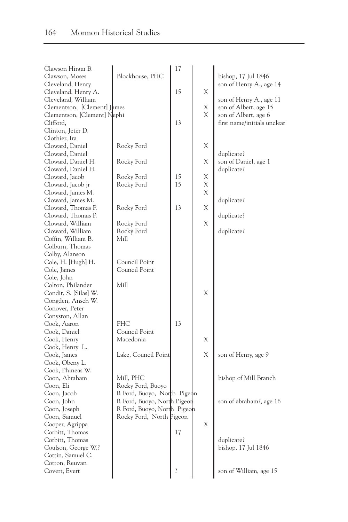| Clawson Hiram B.            |                             | 17 |   |                             |
|-----------------------------|-----------------------------|----|---|-----------------------------|
| Clawson, Moses              | Blockhouse, PHC             |    |   | bishop, 17 Jul 1846         |
| Cleveland, Henry            |                             |    |   | son of Henry A., age 14     |
| Cleveland, Henry A.         |                             | 15 | X |                             |
| Cleveland, William          |                             |    |   | son of Henry A., age 11     |
| Clementson, [Clement] James |                             |    | Χ | son of Albert, age 15       |
| Clementson, [Clement] Nephi |                             |    | X | son of Albert, age 6        |
| Clifford,                   |                             | 13 |   | first name/initials unclear |
| Clinton, Jeter D.           |                             |    |   |                             |
| Clothier, Ira               |                             |    |   |                             |
| Cloward, Daniel             | Rocky Ford                  |    | Χ |                             |
| Cloward, Daniel             |                             |    |   | duplicate?                  |
| Cloward, Daniel H.          | Rocky Ford                  |    | Χ | son of Daniel, age 1        |
| Cloward, Daniel H.          |                             |    |   | duplicate?                  |
| Cloward, Jacob              | Rocky Ford                  | 15 | Χ |                             |
| Cloward, Jacob jr           | Rocky Ford                  | 15 | Χ |                             |
| Cloward, James M.           |                             |    | X |                             |
| Cloward, James M.           |                             |    |   | duplicate?                  |
| Cloward, Thomas P.          | Rocky Ford                  | 13 | X |                             |
| Cloward, Thomas P.          |                             |    |   | duplicate?                  |
| Cloward, William            | Rocky Ford                  |    | X |                             |
| Cloward, William            | Rocky Ford                  |    |   | duplicate?                  |
| Coffin, William B.          | Mill                        |    |   |                             |
| Colburn, Thomas             |                             |    |   |                             |
| Colby, Alanson              |                             |    |   |                             |
| Cole, H. [Hugh] H.          | Council Point               |    |   |                             |
| Cole, James                 | Council Point               |    |   |                             |
| Cole, John                  |                             |    |   |                             |
| Colton, Philander           | Mill                        |    |   |                             |
| Condit, S. [Silas] W.       |                             |    | X |                             |
| Congden, Ansch W.           |                             |    |   |                             |
| Conover, Peter              |                             |    |   |                             |
| Conyston, Allan             |                             |    |   |                             |
| Cook, Aaron                 | PHC                         | 13 |   |                             |
| Cook, Daniel                | Council Point               |    |   |                             |
|                             | Macedonia                   |    | Χ |                             |
| Cook, Henry                 |                             |    |   |                             |
| Cook, Henry L.              |                             |    |   |                             |
| Cook, James                 | Lake, Council Point         |    | Χ | son of Henry, age 9         |
| Cook, Obeny L.              |                             |    |   |                             |
| Cook, Phineas W.            |                             |    |   |                             |
| Coon, Abraham               | Mill, PHC                   |    |   | bishop of Mill Branch       |
| Coon, Eli                   | Rocky Ford, Buoyo           |    |   |                             |
| Coon, Jacob                 | R Ford, Buoyo, North Pigeon |    |   |                             |
| Coon, John                  | R Ford, Buoyo, North Pigeon |    |   | son of abraham?, age 16     |
| Coon, Joseph                | R Ford, Buoyo, North Pigeon |    |   |                             |
| Coon, Samuel                | Rocky Ford, North Pigeon    |    |   |                             |
| Cooper, Agrippa             |                             |    | Χ |                             |
| Corbitt, Thomas             |                             | 17 |   |                             |
| Corbitt, Thomas             |                             |    |   | duplicate?                  |
| Coulson, George W.?         |                             |    |   | bishop, 17 Jul 1846         |
| Cottin, Samuel C.           |                             |    |   |                             |
| Cotton, Reuvan              |                             |    |   |                             |
| Covert, Evert               |                             |    |   | son of William, age 15      |
|                             |                             |    |   |                             |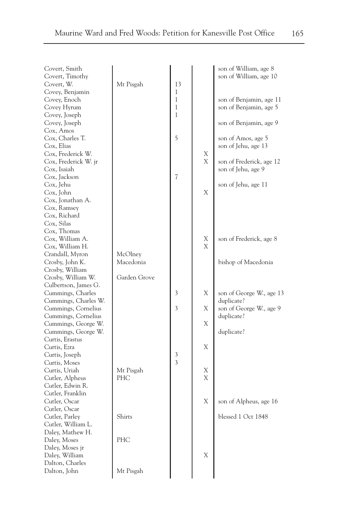| Covert, Timothy<br>son of William, age 10<br>Mt Pisgah<br>13<br>Covert, W.<br>Covey, Benjamin<br>1<br>Covey, Enoch<br>1<br>son of Benjamin, age 11<br>Covey Hyrum<br>1<br>son of Benjamin, age 5<br>Covey, Joseph<br>1<br>Covey, Joseph<br>son of Benjamin, age 9<br>Cox, Amos<br>5<br>Cox, Charles T.<br>son of Amos, age 5<br>Cox, Elias<br>son of Jehu, age 13<br>Cox, Frederick W.<br>Х |  |
|---------------------------------------------------------------------------------------------------------------------------------------------------------------------------------------------------------------------------------------------------------------------------------------------------------------------------------------------------------------------------------------------|--|
|                                                                                                                                                                                                                                                                                                                                                                                             |  |
|                                                                                                                                                                                                                                                                                                                                                                                             |  |
|                                                                                                                                                                                                                                                                                                                                                                                             |  |
|                                                                                                                                                                                                                                                                                                                                                                                             |  |
|                                                                                                                                                                                                                                                                                                                                                                                             |  |
|                                                                                                                                                                                                                                                                                                                                                                                             |  |
|                                                                                                                                                                                                                                                                                                                                                                                             |  |
|                                                                                                                                                                                                                                                                                                                                                                                             |  |
|                                                                                                                                                                                                                                                                                                                                                                                             |  |
|                                                                                                                                                                                                                                                                                                                                                                                             |  |
|                                                                                                                                                                                                                                                                                                                                                                                             |  |
| Χ<br>Cox, Frederick W. jr<br>son of Frederick, age 12                                                                                                                                                                                                                                                                                                                                       |  |
| Cox, Isaiah<br>son of Jehu, age 9                                                                                                                                                                                                                                                                                                                                                           |  |
| Cox, Jackson<br>7                                                                                                                                                                                                                                                                                                                                                                           |  |
| Cox, Jehu<br>son of Jehu, age 11                                                                                                                                                                                                                                                                                                                                                            |  |
| Χ<br>Cox, John                                                                                                                                                                                                                                                                                                                                                                              |  |
| Cox, Jonathan A.                                                                                                                                                                                                                                                                                                                                                                            |  |
| Cox, Ramsey                                                                                                                                                                                                                                                                                                                                                                                 |  |
| Cox, Richard                                                                                                                                                                                                                                                                                                                                                                                |  |
| Cox, Silas                                                                                                                                                                                                                                                                                                                                                                                  |  |
| Cox, Thomas                                                                                                                                                                                                                                                                                                                                                                                 |  |
| Cox, William A.<br>son of Frederick, age 8<br>Χ                                                                                                                                                                                                                                                                                                                                             |  |
| X<br>Cox, William H.                                                                                                                                                                                                                                                                                                                                                                        |  |
| Crandall, Myron<br>McOlney                                                                                                                                                                                                                                                                                                                                                                  |  |
| Crosby, John K.<br>Macedonia<br>bishop of Macedonia                                                                                                                                                                                                                                                                                                                                         |  |
| Crosby, William                                                                                                                                                                                                                                                                                                                                                                             |  |
| Garden Grove<br>Crosby, William W.                                                                                                                                                                                                                                                                                                                                                          |  |
| Culbertson, James G.                                                                                                                                                                                                                                                                                                                                                                        |  |
| Χ<br>Cummings, Charles<br>3<br>son of George W., age 13                                                                                                                                                                                                                                                                                                                                     |  |
| Cummings, Charles W.<br>duplicate?                                                                                                                                                                                                                                                                                                                                                          |  |
| Cummings, Cornelius<br>3<br>Χ<br>son of George W., age 9                                                                                                                                                                                                                                                                                                                                    |  |
| Cummings, Cornelius<br>duplicate?                                                                                                                                                                                                                                                                                                                                                           |  |
| Χ<br>Cummings, George W.                                                                                                                                                                                                                                                                                                                                                                    |  |
| Cummings, George W.<br>duplicate?                                                                                                                                                                                                                                                                                                                                                           |  |
| Curtis, Erastus                                                                                                                                                                                                                                                                                                                                                                             |  |
| Χ<br>Curtis, Ezra                                                                                                                                                                                                                                                                                                                                                                           |  |
| Curtis, Joseph<br>3                                                                                                                                                                                                                                                                                                                                                                         |  |
| 3<br>Curtis, Moses                                                                                                                                                                                                                                                                                                                                                                          |  |
| Curtis, Uriah<br>Mt Pisgah<br>Χ                                                                                                                                                                                                                                                                                                                                                             |  |
| Χ<br>Cutler, Alpheus<br>PHC                                                                                                                                                                                                                                                                                                                                                                 |  |
| Cutler, Edwin R.                                                                                                                                                                                                                                                                                                                                                                            |  |
| Cutler, Franklin                                                                                                                                                                                                                                                                                                                                                                            |  |
| Χ<br>Cutler, Oscar<br>son of Alpheus, age 16                                                                                                                                                                                                                                                                                                                                                |  |
| Cutler, Oscar                                                                                                                                                                                                                                                                                                                                                                               |  |
| Cutler, Parley<br>blessed 1 Oct 1848<br>Shirts                                                                                                                                                                                                                                                                                                                                              |  |
| Cutler, William L.                                                                                                                                                                                                                                                                                                                                                                          |  |
| Daley, Mathew H.                                                                                                                                                                                                                                                                                                                                                                            |  |
| PHC<br>Daley, Moses                                                                                                                                                                                                                                                                                                                                                                         |  |
| Daley, Moses jr                                                                                                                                                                                                                                                                                                                                                                             |  |
| X                                                                                                                                                                                                                                                                                                                                                                                           |  |
| Daley, William<br>Dalton, Charles                                                                                                                                                                                                                                                                                                                                                           |  |
| Mt Pisgah                                                                                                                                                                                                                                                                                                                                                                                   |  |
| Dalton, John                                                                                                                                                                                                                                                                                                                                                                                |  |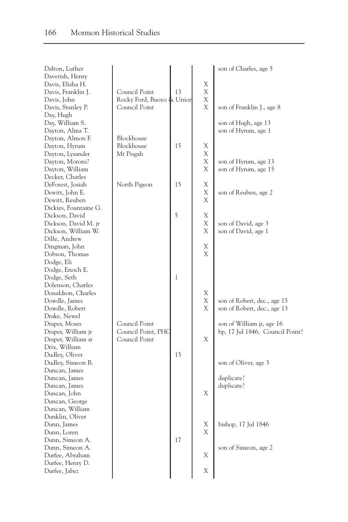| Dalton, Luther        |                           |    |             | son of Charles, age 5           |
|-----------------------|---------------------------|----|-------------|---------------------------------|
| Daverish, Henry       |                           |    |             |                                 |
| Davis, Elisha H.      |                           |    | X           |                                 |
| Davis, Franklin J.    | Council Point             | 13 | Χ           |                                 |
| Davis, John           | Rocky Ford, Buoyo & Union |    | Χ           |                                 |
| Davis, Stanley P.     | Council Point             |    | X           | son of Franklin J., age 8       |
| Day, Hugh             |                           |    |             |                                 |
| Day, William S.       |                           |    |             | son of Hugh, age 13             |
| Dayton, Alma T.       |                           |    |             | son of Hyrum, age 1             |
| Dayton, Almon F.      | Blockhouse                |    |             |                                 |
| Dayton, Hyrum         | Blockhouse                | 15 | Χ           |                                 |
| Dayton, Lysander      | Mt Pisgah                 |    | Χ           |                                 |
| Dayton, Moroni?       |                           |    | Χ           | son of Hyrum, age 13            |
| Dayton, William       |                           |    | Χ           | son of Hyrum, age 15            |
| Decker, Charles       |                           |    |             |                                 |
| DeForest, Josiah      | North Pigeon              | 15 | Χ           |                                 |
| Dewitt, John E.       |                           |    | Χ           | son of Reuben, age 2            |
| Dewitt, Reuben        |                           |    | Χ           |                                 |
| Dickies, Fountaine G. |                           |    |             |                                 |
| Dickson, David        |                           | 5  | Χ           |                                 |
| Dickson, David M. jr  |                           |    | Χ           | son of David, age 3             |
| Dickson, William W.   |                           |    | Χ           | son of David, age 1             |
| Dille, Andrew         |                           |    |             |                                 |
| Dingman, John         |                           |    | Χ           |                                 |
| Dobson, Thomas        |                           |    | X           |                                 |
|                       |                           |    |             |                                 |
| Dodge, Eli            |                           |    |             |                                 |
| Dodge, Enoch E.       |                           |    |             |                                 |
| Dodge, Seth           |                           | 1  |             |                                 |
| Dolenson, Charles     |                           |    |             |                                 |
| Donaldson, Charles    |                           |    | Χ           |                                 |
| Dowdle, James         |                           |    | X           | son of Robert, dec., age 15     |
| Dowdle, Robert        |                           |    | X           | son of Robert, dec., age 13     |
| Drake, Newel          |                           |    |             |                                 |
| Draper, Moses         | Council Point             |    |             | son of William jr, age 16       |
| Draper, William jr    | Council Point, PHC        |    |             | bp, 17 Jul 1846, Council Point? |
| Draper, William sr    | Council Point             |    | X           |                                 |
| Drix, William         |                           |    |             |                                 |
| Dudley, Oliver        |                           | 15 |             |                                 |
| Dudley, Simeon B.     |                           |    |             | son of Oliver, age 3            |
| Duncan, James         |                           |    |             |                                 |
| Duncan, James         |                           |    |             | duplicate?                      |
| Duncan, James         |                           |    |             | duplicate?                      |
| Duncan, John          |                           |    | $\mathbf X$ |                                 |
| Duncan, George        |                           |    |             |                                 |
| Duncan, William       |                           |    |             |                                 |
| Dunklin, Oliver       |                           |    |             |                                 |
| Dunn, James           |                           |    | Χ           | bishop, 17 Jul 1846             |
| Dunn, Loren           |                           |    | X           |                                 |
| Dunn, Simeon A.       |                           | 17 |             |                                 |
| Dunn, Simeon A.       |                           |    |             | son of Simeon, age 2            |
| Durfee, Abraham       |                           |    | Χ           |                                 |
| Durfee, Henry D.      |                           |    |             |                                 |
| Durfee, Jabez         |                           |    | Χ           |                                 |
|                       |                           |    |             |                                 |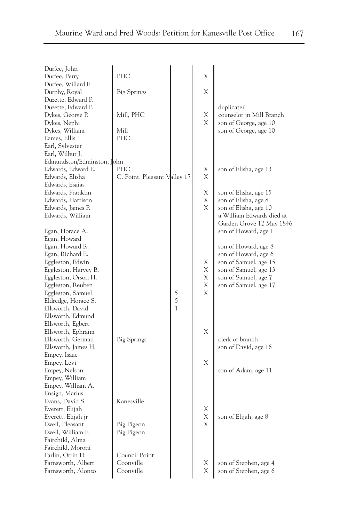| - - | ×<br>۰.<br>×. |
|-----|---------------|
|-----|---------------|

| Durfee, John<br>Durfee, Perry      | PHC                          |   | X |                           |
|------------------------------------|------------------------------|---|---|---------------------------|
| Durfee, Willard F.                 |                              |   |   |                           |
| Durphy, Royal                      | <b>Big Springs</b>           |   | Χ |                           |
| Duzette, Edward P.                 |                              |   |   |                           |
| Duzette, Edward P.                 |                              |   |   | duplicate?                |
| Dykes, George P.                   | Mill, PHC                    |   | Χ | counselor in Mill Branch  |
| Dykes, Nephi                       |                              |   | X | son of George, age 10     |
| Dykes, William                     | Mill                         |   |   | son of George, age 10     |
| Eames, Ellis                       | <b>PHC</b>                   |   |   |                           |
| Earl, Sylvester<br>Earl, Wilbur J. |                              |   |   |                           |
| Edmundston/Edminston, John         |                              |   |   |                           |
| Edwards, Edward E.                 | PHC                          |   | Χ | son of Elisha, age 13     |
| Edwards, Elisha                    | C. Point, Pleasant Valley 17 |   | X |                           |
| Edwards, Esaias                    |                              |   |   |                           |
| Edwards, Franklin                  |                              |   | Χ | son of Elisha, age 15     |
| Edwards, Harrison                  |                              |   | Χ | son of Elisha, age 8      |
| Edwards, James P.                  |                              |   | X | son of Elisha, age 10     |
| Edwards, William                   |                              |   |   | a William Edwards died at |
|                                    |                              |   |   | Garden Grove 12 May 1846  |
| Egan, Horace A.                    |                              |   |   | son of Howard, age 1      |
| Egan, Howard                       |                              |   |   |                           |
| Egan, Howard R.                    |                              |   |   | son of Howard, age 8      |
| Egan, Richard E.                   |                              |   |   | son of Howard, age 6      |
| Eggleston, Edwin                   |                              |   | Χ | son of Samuel, age 15     |
| Eggleston, Harvey B.               |                              |   | Χ | son of Samuel, age 13     |
| Eggleston, Orson H.                |                              |   | Χ | son of Samuel, age 7      |
| Eggleston, Reuben                  |                              |   | Χ | son of Samuel, age 17     |
| Eggleston, Samuel                  |                              | 5 | X |                           |
| Eldredge, Horace S.                |                              | 5 |   |                           |
| Ellsworth, David                   |                              | 1 |   |                           |
| Ellsworth, Edmund                  |                              |   |   |                           |
| Ellsworth, Egbert                  |                              |   |   |                           |
| Ellsworth, Ephraim                 |                              |   | Χ |                           |
| Ellsworth, German                  | <b>Big Springs</b>           |   |   | clerk of branch           |
| Ellsworth, James H.                |                              |   |   | son of David, age 16      |
| Empey, Isaac                       |                              |   |   |                           |
| Empey, Levi                        |                              |   | X |                           |
| Empey, Nelson                      |                              |   |   | son of Adam, age 11       |
| Empey, William                     |                              |   |   |                           |
| Empey, William A.                  |                              |   |   |                           |
| Ensign, Marius                     |                              |   |   |                           |
| Evans, David S.                    | Kanesville                   |   |   |                           |
| Everett, Elijah                    |                              |   | Х |                           |
| Everett, Elijah jr                 |                              |   | Χ | son of Elijah, age 8      |
| Ewell, Pleasant                    | Big Pigeon                   |   | X |                           |
| Ewell, William F.                  | Big Pigeon                   |   |   |                           |
| Fairchild, Alma                    |                              |   |   |                           |
| Fairchild, Moroni                  |                              |   |   |                           |
| Farlin, Orrin D.                   | Council Point                |   |   |                           |
| Farnsworth, Albert                 | Coonville                    |   | Х | son of Stephen, age 4     |
| Farnsworth, Alonzo                 | Coonville                    |   | X | son of Stephen, age 6     |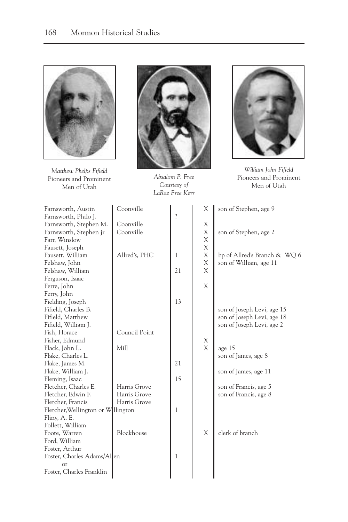

*Matthew Phelps Fifield* Pioneers and Prominent Men of Utah



*Absalom P. Free Courtesy of LaRae Free Kerr*



*William John Fifield* Pioneers and Prominent Men of Utah

| Farnsworth, Austin<br>Farnsworth, Philo J. | Coonville     | $\ddot{.}$ | Χ | son of Stephen, age 9        |
|--------------------------------------------|---------------|------------|---|------------------------------|
| Farnsworth, Stephen M.                     | Coonville     |            | Χ |                              |
| Farnsworth, Stephen jr                     | Coonville     |            | Χ | son of Stephen, age 2        |
| Farr, Winslow                              |               |            | X |                              |
| Fausett, Joseph                            |               |            | X |                              |
| Fausett, William                           | Allred's, PHC | 1          | X | bp of Allred's Branch & WQ 6 |
| Felshaw, John                              |               |            | X | son of William, age 11       |
| Felshaw, William                           |               | 21         | X |                              |
| Ferguson, Isaac                            |               |            |   |                              |
| Ferre, John                                |               |            | X |                              |
| Ferry, John                                |               |            |   |                              |
| Fielding, Joseph                           |               | 13         |   |                              |
| Fifield, Charles B.                        |               |            |   | son of Joseph Levi, age 15   |
| Fifield, Matthew                           |               |            |   | son of Joseph Levi, age 18   |
| Fifield, William J.                        |               |            |   | son of Joseph Levi, age 2    |
| Fish, Horace                               | Council Point |            |   |                              |
| Fisher, Edmund                             |               |            | Χ |                              |
| Flack, John L.                             | Mill          |            | X | age 15                       |
| Flake, Charles L.                          |               |            |   | son of James, age 8          |
| Flake, James M.                            |               | 21         |   |                              |
| Flake, William J.                          |               |            |   | son of James, age 11         |
| Fleming, Isaac                             |               | 15         |   |                              |
| Fletcher, Charles E.                       | Harris Grove  |            |   | son of Francis, age 5        |
| Fletcher, Edwin F.                         | Harris Grove  |            |   | son of Francis, age 8        |
| Fletcher, Francis                          | Harris Grove  |            |   |                              |
| Fletcher, Wellington or Willington         |               | 1          |   |                              |
| Fliny, A. E.                               |               |            |   |                              |
| Follett, William                           |               |            |   |                              |
| Foote, Warren                              | Blockhouse    |            | X | clerk of branch              |
| Ford, William                              |               |            |   |                              |
| Foster, Arthur                             |               |            |   |                              |
| Foster, Charles Adams/Allen                |               | 1          |   |                              |
| <b>or</b>                                  |               |            |   |                              |
| Foster, Charles Franklin                   |               |            |   |                              |
|                                            |               |            |   |                              |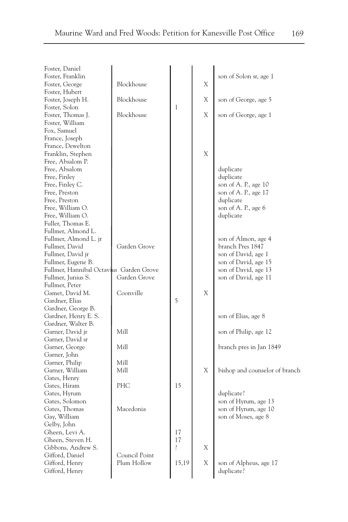| Foster, Daniel<br>Foster, Franklin      |               |              |   | son of Solon sr, age 1         |
|-----------------------------------------|---------------|--------------|---|--------------------------------|
| Foster, George                          | Blockhouse    |              | X |                                |
| Foster, Hubert                          |               |              |   |                                |
| Foster, Joseph H.                       | Blockhouse    |              | Х | son of George, age 5           |
| Foster, Solon                           |               | 1            |   |                                |
| Foster, Thomas J.                       | Blockhouse    |              | X | son of George, age 1           |
| Foster, William                         |               |              |   |                                |
| Fox, Samuel                             |               |              |   |                                |
| France, Joseph                          |               |              |   |                                |
| France, Dewelton                        |               |              |   |                                |
| Franklin, Stephen                       |               |              | X |                                |
|                                         |               |              |   |                                |
| Free, Absalom P.                        |               |              |   |                                |
| Free, Absalom                           |               |              |   | duplicate                      |
| Free, Finley                            |               |              |   | duplicate                      |
| Free, Finley C.                         |               |              |   | son of A. P., age 10           |
| Free, Preston                           |               |              |   | son of A. P., age 17           |
| Free, Preston                           |               |              |   | duplicate                      |
| Free, William O.                        |               |              |   | son of A. P., age 6            |
| Free, William O.                        |               |              |   | duplicate                      |
| Fuller, Thomas E.                       |               |              |   |                                |
| Fullmer, Almond L.                      |               |              |   |                                |
| Fullmer, Almond L. jr                   |               |              |   | son of Almon, age 4            |
| Fullmer, David                          | Garden Grove  |              |   | branch Pres 1847               |
| Fullmer, David jr                       |               |              |   | son of David, age 1            |
| Fullmer, Eugene B.                      |               |              |   | son of David, age 15           |
| Fullmer, Hannibal Octavius Garden Grove |               |              |   | son of David, age 13           |
| Fullmer, Junius S.                      | Garden Grove  |              |   | son of David, age 11           |
| Fullmer, Peter                          |               |              |   |                                |
| Gamet, David M.                         | Coonville     |              | Χ |                                |
| Gardner, Elias                          |               | 5            |   |                                |
| Gardner, George B.                      |               |              |   |                                |
| Gardner, Henry E. S.                    |               |              |   | son of Elias, age 8            |
| Gardner, Walter B.                      |               |              |   |                                |
| Garner, David jr                        | Mill          |              |   | son of Philip, age 12          |
| Garner, David sr                        |               |              |   |                                |
| Garner, George                          | Mill          |              |   | branch pres in Jan 1849        |
| Garner, John                            |               |              |   |                                |
| Garner, Philip                          | Mill          |              |   |                                |
| Garner, William                         | Mill          |              | Χ | bishop and counselor of branch |
| Gates, Henry                            |               |              |   |                                |
| Gates, Hiram                            | PHC           | 15           |   |                                |
| Gates, Hyrum                            |               |              |   | duplicate?                     |
| Gates, Solomon                          |               |              |   | son of Hyrum, age 13           |
| Gates, Thomas                           | Macedonia     |              |   | son of Hyrum, age 10           |
| Gay, William                            |               |              |   | son of Moses, age 8            |
| Gelby, John                             |               |              |   |                                |
| Gheen, Levi A.                          |               | 17           |   |                                |
| Gheen, Steven H.                        |               | 17           |   |                                |
| Gibbons, Andrew S.                      |               | <sup>2</sup> | X |                                |
| Gifford, Daniel                         | Council Point |              |   |                                |
| Gifford, Henry                          | Plum Hollow   | 15,19        | Χ | son of Alpheus, age 17         |
| Gifford, Henry                          |               |              |   | duplicate?                     |
|                                         |               |              |   |                                |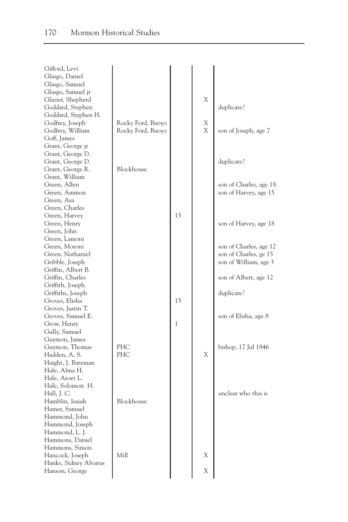| Gifford, Levi         |                   |              |   |                        |
|-----------------------|-------------------|--------------|---|------------------------|
| Glasgo, Daniel        |                   |              |   |                        |
| Glasgo, Samuel        |                   |              |   |                        |
| Glasgo, Samuel jr     |                   |              |   |                        |
| Glazier, Shepherd     |                   |              | Χ |                        |
| Goddard, Stephen      |                   |              |   | duplicate?             |
| Goddard, Stephen H.   |                   |              |   |                        |
| Godfrey, Joseph       | Rocky Ford, Buoyo |              | Χ |                        |
| Godfrey, William      | Rocky Ford, Buoyo |              | Χ | son of Joseph, age 7   |
|                       |                   |              |   |                        |
| Goff, James           |                   |              |   |                        |
| Grant, George jr      |                   |              |   |                        |
| Grant, George D.      |                   |              |   |                        |
| Grant, George D.      |                   |              |   | duplicate?             |
| Grant, George R.      | Blockhouse        |              |   |                        |
| Grant, William        |                   |              |   |                        |
| Green, Allen          |                   |              |   | son of Charles, age 18 |
| Green, Ammon          |                   |              |   | son of Harvey, age 15  |
| Green, Asa            |                   |              |   |                        |
| Green, Charles        |                   |              |   |                        |
| Green, Harvey         |                   | 15           |   |                        |
| Green, Henry          |                   |              |   | son of Harvey, age 18  |
| Green, John           |                   |              |   |                        |
| Green, Lamoni         |                   |              |   |                        |
| Green, Moroni         |                   |              |   | son of Charles, age 12 |
| Green, Nathaniel      |                   |              |   | son of Charles, ge 15  |
| Gribble, Joseph       |                   |              |   | son of William, age 3  |
| Griffin, Albert B.    |                   |              |   |                        |
|                       |                   |              |   |                        |
| Griffin, Charles      |                   |              |   | son of Albert, age 12  |
| Griffith, Joseph      |                   |              |   |                        |
| Griffiths, Joseph     |                   |              |   | duplicate?             |
| Groves, Elisha        |                   | 15           |   |                        |
| Groves, Justin T.     |                   |              |   |                        |
| Groves, Samuel E.     |                   |              |   | son of Elisha, age 8   |
| Grow, Henry           |                   | $\mathbf{1}$ |   |                        |
| Gully, Samuel         |                   |              |   |                        |
| Guymon, James         |                   |              |   |                        |
| Guymon, Thomas        | PHC               |              |   | bishop, 17 Jul 1846    |
| Hadden, A. S.         | PHC               |              | X |                        |
| Haight, J. Bateman    |                   |              |   |                        |
| Hale, Alma H.         |                   |              |   |                        |
| Hale, Aroet L.        |                   |              |   |                        |
| Hale, Solomon H.      |                   |              |   |                        |
| Hall, J. C.           |                   |              |   | unclear who this is    |
| Hamblin, Isaiah       | Blockhouse        |              |   |                        |
| Hamer, Samuel         |                   |              |   |                        |
| Hammond, John         |                   |              |   |                        |
|                       |                   |              |   |                        |
| Hammond, Joseph       |                   |              |   |                        |
| Hammond, L. J.        |                   |              |   |                        |
| Hammons, Daniel       |                   |              |   |                        |
| Hammons, Simon        |                   |              |   |                        |
| Hancock, Joseph       | Mill              |              | Χ |                        |
| Hanks, Sidney Alvarus |                   |              |   |                        |
| Hanson, George        |                   |              | Х |                        |
|                       |                   |              |   |                        |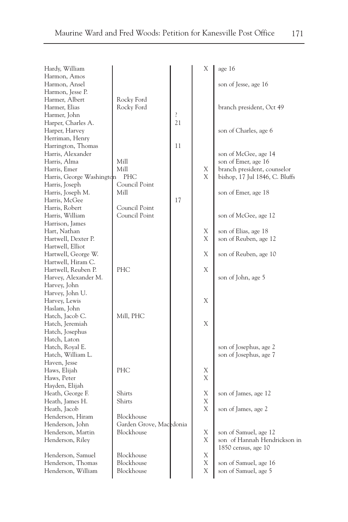| Hardy, William                    |                         |    | Χ | age $16$                       |
|-----------------------------------|-------------------------|----|---|--------------------------------|
| Harmon, Amos                      |                         |    |   |                                |
| Harmon, Ansel<br>Harmon, Jesse P. |                         |    |   | son of Jesse, age 16           |
| Harmer, Albert                    | Rocky Ford              |    |   |                                |
| Harmer, Elias                     | Rocky Ford              |    |   | branch president, Oct 49       |
| Harmer, John                      |                         | ŗ  |   |                                |
| Harper, Charles A.                |                         | 21 |   |                                |
| Harper, Harvey                    |                         |    |   | son of Charles, age 6          |
| Herriman, Henry                   |                         |    |   |                                |
| Harrington, Thomas                |                         | 11 |   |                                |
| Harris, Alexander                 |                         |    |   | son of McGee, age 14           |
| Harris, Alma                      | Mill                    |    |   | son of Emer, age 16            |
| Harris, Emer                      | Mill                    |    | Χ | branch president, counselor    |
| Harris, George Washington         | PHC                     |    | Χ | bishop, 17 Jul 1846, C. Bluffs |
| Harris, Joseph                    | Council Point           |    |   |                                |
| Harris, Joseph M.                 | Mill                    |    |   | son of Emer, age 18            |
| Harris, McGee                     |                         | 17 |   |                                |
| Harris, Robert                    | Council Point           |    |   |                                |
| Harris, William                   | Council Point           |    |   | son of McGee, age 12           |
| Harrison, James                   |                         |    |   |                                |
| Hart, Nathan                      |                         |    | Χ | son of Elias, age 18           |
| Hartwell, Dexter P.               |                         |    | X | son of Reuben, age 12          |
| Hartwell, Elliot                  |                         |    |   |                                |
| Hartwell, George W.               |                         |    | Χ | son of Reuben, age 10          |
| Hartwell, Hiram C.                |                         |    |   |                                |
| Hartwell, Reuben P.               | PHC                     |    | Χ |                                |
| Harvey, Alexander M.              |                         |    |   | son of John, age 5             |
| Harvey, John                      |                         |    |   |                                |
| Harvey, John U.                   |                         |    |   |                                |
| Harvey, Lewis                     |                         |    | Χ |                                |
| Haslam, John                      |                         |    |   |                                |
| Hatch, Jacob C.                   | Mill, PHC               |    |   |                                |
| Hatch, Jeremiah                   |                         |    | Χ |                                |
| Hatch, Josephus                   |                         |    |   |                                |
| Hatch, Laton                      |                         |    |   |                                |
| Hatch, Royal E.                   |                         |    |   | son of Josephus, age 2         |
| Hatch, William L.                 |                         |    |   | son of Josephus, age 7         |
| Haven, Jesse                      |                         |    |   |                                |
| Haws, Elijah                      | PHC                     |    | Χ |                                |
| Haws, Peter                       |                         |    | Χ |                                |
| Hayden, Elijah                    |                         |    |   |                                |
| Heath, George F.                  | Shirts                  |    | Χ | son of James, age 12           |
| Heath, James H.                   | Shirts                  |    | Χ |                                |
| Heath, Jacob                      |                         |    | Χ | son of James, age 2            |
| Henderson, Hiram                  | Blockhouse              |    |   |                                |
| Henderson, John                   | Garden Grove, Macedonia |    |   |                                |
| Henderson, Martin                 | Blockhouse              |    | Χ | son of Samuel, age 12          |
| Henderson, Riley                  |                         |    | Χ | son of Hannah Hendrickson in   |
|                                   |                         |    |   | $1850$ census, age $10$        |
| Henderson, Samuel                 | Blockhouse              |    | Χ |                                |
| Henderson, Thomas                 | Blockhouse              |    | Χ | son of Samuel, age 16          |
| Henderson, William                | Blockhouse              |    | Χ | son of Samuel, age 5           |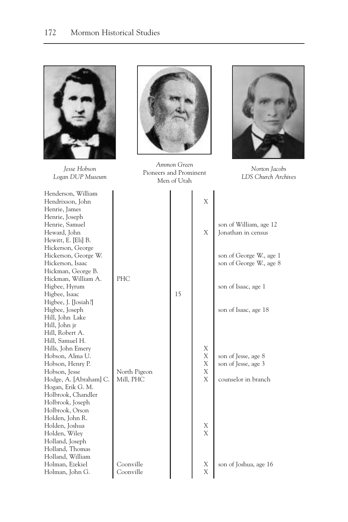

*Jesse Hobson Logan DUP Museum*

Henderson, William Hendrixson, John X Henrie, James Henrie, Joseph Henrie, Samuel Heward, John Hewitt, E. [Eli] B. Hickerson, George Hickerson, George W. Hickerson, Isaac Hickman, George B. Hickman, William A. PH Higbee, Hyrum Higbee, Isaac Higbee, J. [Josiah?] Higbee, Joseph Hill, John Lake Hill, John jr Hill, Robert A. Hill, Samuel H. Hills, John Emery Hobson, Alma U. Hobson, Henry P. Hobson, Jesse No Hodge, A. [Abraham] C. Mil Hogan, Erik G. M. Holbrook, Chandler Holbrook, Joseph Holbrook, Orson Holden, John R. Holden, Joshua X Holden, Wiley Holland, Joseph Holland, Thomas Holland, William Holman, Ezekiel Co Holman, John G. Coonville X



*Ammon Green* Pioneers and Prominent Men of Utah



*Norton Jacobs LDS Church Archives*

|                       | Men of Utah |                                                                |                                                                   |
|-----------------------|-------------|----------------------------------------------------------------|-------------------------------------------------------------------|
|                       |             | $\overline{X}$                                                 |                                                                   |
|                       |             | X                                                              | son of William, age 12<br>Jonathan in census                      |
|                       |             |                                                                | son of George W., age 1<br>son of George W., age 8                |
| IС                    | 15          |                                                                | son of Isaac, age 1                                               |
|                       |             |                                                                | son of Isaac, age 18                                              |
| rth Pigeon<br>ll, PHC |             | $\begin{array}{c}\nX \\ X\n\end{array}$<br>$\bar{X}$<br>X<br>X | son of Jesse, age 8<br>son of Jesse, age 3<br>counselor in branch |
|                       |             | X<br>X                                                         |                                                                   |
| onville<br>. : 11     |             | Χ                                                              | son of Joshua, age 16                                             |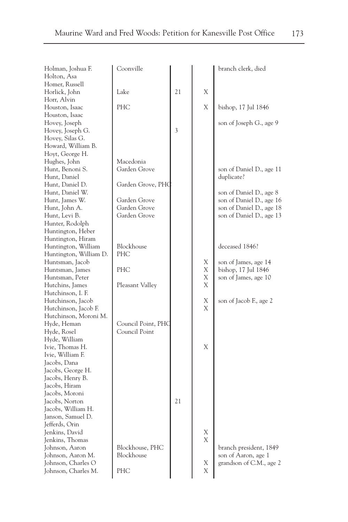| Holman, Joshua F.      | Coonville          |    |   | branch clerk, died       |
|------------------------|--------------------|----|---|--------------------------|
| Holton, Asa            |                    |    |   |                          |
| Homer, Russell         |                    |    |   |                          |
| Horlick, John          | Lake               | 21 | Χ |                          |
| Horr, Alvin            |                    |    |   |                          |
| Houston, Isaac         | <b>PHC</b>         |    | X | bishop, 17 Jul 1846      |
| Houston, Isaac         |                    |    |   |                          |
| Hovey, Joseph          |                    |    |   | son of Joseph G., age 9  |
| Hovey, Joseph G.       |                    | 3  |   |                          |
| Hovey, Silas G.        |                    |    |   |                          |
| Howard, William B.     |                    |    |   |                          |
| Hoyt, George H.        |                    |    |   |                          |
| Hughes, John           | Macedonia          |    |   |                          |
| Hunt, Benoni S.        | Garden Grove       |    |   | son of Daniel D., age 11 |
| Hunt, Daniel           |                    |    |   | duplicate?               |
| Hunt, Daniel D.        | Garden Grove, PHC  |    |   |                          |
| Hunt, Daniel W.        |                    |    |   | son of Daniel D., age 8  |
| Hunt, James W.         | Garden Grove       |    |   | son of Daniel D., age 16 |
| Hunt, John A.          | Garden Grove       |    |   | son of Daniel D., age 18 |
| Hunt, Levi B.          | Garden Grove       |    |   | son of Daniel D., age 13 |
| Hunter, Rodolph        |                    |    |   |                          |
| Huntington, Heber      |                    |    |   |                          |
| Huntington, Hiram      |                    |    |   |                          |
| Huntington, William    | Blockhouse         |    |   | deceased 1846?           |
| Huntington, William D. | <b>PHC</b>         |    |   |                          |
| Huntsman, Jacob        |                    |    | Х | son of James, age 14     |
| Huntsman, James        | <b>PHC</b>         |    | Χ | bishop, 17 Jul 1846      |
| Huntsman, Peter        |                    |    | Χ | son of James, age 10     |
| Hutchins, James        | Pleasant Valley    |    | X |                          |
| Hutchinson, I. F.      |                    |    |   |                          |
| Hutchinson, Jacob      |                    |    | Χ | son of Jacob F., age 2   |
| Hutchinson, Jacob F.   |                    |    | Χ |                          |
| Hutchinson, Moroni M.  |                    |    |   |                          |
| Hyde, Heman            | Council Point, PHC |    |   |                          |
| Hyde, Rosel            | Council Point      |    |   |                          |
| Hyde, William          |                    |    |   |                          |
| Ivie, Thomas H.        |                    |    | X |                          |
| Ivie, William F.       |                    |    |   |                          |
| Jacobs, Dana           |                    |    |   |                          |
| Jacobs, George H.      |                    |    |   |                          |
| Jacobs, Henry B.       |                    |    |   |                          |
| Jacobs, Hiram          |                    |    |   |                          |
| Jacobs, Moroni         |                    |    |   |                          |
| Jacobs, Norton         |                    | 21 |   |                          |
| Jacobs, William H.     |                    |    |   |                          |
| Janson, Samuel D.      |                    |    |   |                          |
| Jefferds, Orin         |                    |    |   |                          |
| Jenkins, David         |                    |    | Х |                          |
| Jenkins, Thomas        |                    |    | Χ |                          |
| Johnson, Aaron         | Blockhouse, PHC    |    |   | branch president, 1849   |
| Johnson, Aaron M.      | Blockhouse         |    |   | son of Aaron, age 1      |
| Johnson, Charles O     |                    |    | X | grandson of C.M., age 2  |
| Johnson, Charles M.    | PHC                |    | Χ |                          |
|                        |                    |    |   |                          |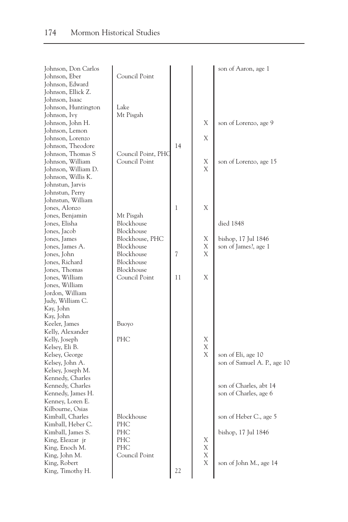| Johnson, Don Carlos<br>Johnson, Eber<br>Johnson, Edward                                            | Council Point                                             |    |                  | son of Aaron, age 1                               |
|----------------------------------------------------------------------------------------------------|-----------------------------------------------------------|----|------------------|---------------------------------------------------|
| Johnson, Ellick Z.<br>Johnson, Isaac<br>Johnson, Huntington<br>Johnson, Ivy                        | Lake<br>Mt Pisgah                                         |    |                  |                                                   |
| Johnson, John H.<br>Johnson, Lemon<br>Johnson, Lorenzo                                             |                                                           |    | Χ<br>Χ           | son of Lorenzo, age 9                             |
| Johnson, Theodore<br>Johnson, Thomas S<br>Johnson, William                                         | Council Point, PHC<br>Council Point                       | 14 | Х                | son of Lorenzo, age 15                            |
| Johnson, William D.<br>Johnson, Willis K.<br>Johnstun, Jarvis<br>Johnstun, Perry                   |                                                           |    | X                |                                                   |
| Johnstun, William<br>Jones, Alonzo                                                                 |                                                           | 1  | X                |                                                   |
| Jones, Benjamin<br>Jones, Elisha<br>Jones, Jacob                                                   | Mt Pisgah<br>Blockhouse<br>Blockhouse                     |    |                  | died 1848                                         |
| Jones, James<br>Jones, James A.<br>Jones, John<br>Jones, Richard                                   | Blockhouse, PHC<br>Blockhouse<br>Blockhouse<br>Blockhouse | 7  | Х<br>Χ<br>X      | bishop, 17 Jul 1846<br>son of James?, age 1       |
| Jones, Thomas<br>Jones, William<br>Jones, William                                                  | Blockhouse<br>Council Point                               | 11 | X                |                                                   |
| Jordon, William<br>Judy, William C.<br>Kay, John                                                   |                                                           |    |                  |                                                   |
| Kay, John<br>Keeler, James<br>Kelly, Alexander                                                     | Buoyo                                                     |    |                  |                                                   |
| Kelly, Joseph<br>Kelsey, Eli B.<br>Kelsey, George<br>Kelsey, John A.                               | PHC                                                       |    | Χ<br>X<br>X      | son of Eli, age 10<br>son of Samuel A. P., age 10 |
| Kelsey, Joseph M.<br>Kennedy, Charles<br>Kennedy, Charles<br>Kennedy, James H.<br>Kenney, Loren E. |                                                           |    |                  | son of Charles, abt 14<br>son of Charles, age 6   |
| Kilbourne, Osias<br>Kimball, Charles<br>Kimball, Heber C.<br>Kimball, James S.                     | Blockhouse<br><b>PHC</b><br>PHC                           |    |                  | son of Heber C., age 5<br>bishop, 17 Jul 1846     |
| King, Eleazar jr<br>King, Enoch M.<br>King, John M.<br>King, Robert                                | PHC<br>PHC<br>Council Point                               |    | X<br>X<br>X<br>Χ | son of John M., age 14                            |
| King, Timothy H.                                                                                   |                                                           | 22 |                  |                                                   |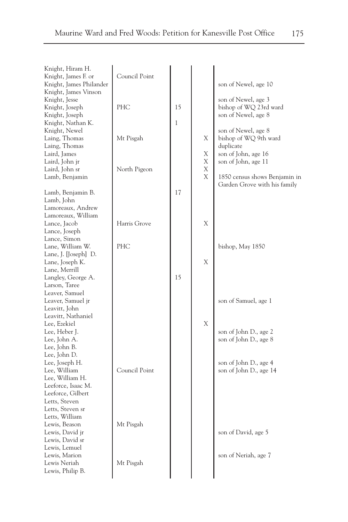| Knight, Hiram H.        |               |              |   |                               |
|-------------------------|---------------|--------------|---|-------------------------------|
| Knight, James F. or     | Council Point |              |   |                               |
| Knight, James Philander |               |              |   | son of Newel, age 10          |
| Knight, James Vinson    |               |              |   |                               |
| Knight, Jesse           |               |              |   | son of Newel, age 3           |
| Knight, Joseph          | PHC           | 15           |   | bishop of WQ 23rd ward        |
| Knight, Joseph          |               |              |   | son of Newel, age 8           |
| Knight, Nathan K.       |               | $\mathbf{1}$ |   |                               |
| Knight, Newel           |               |              |   | son of Newel, age 8           |
| Laing, Thomas           | Mt Pisgah     |              | X | bishop of WQ 9th ward         |
| Laing, Thomas           |               |              |   | duplicate                     |
| Laird, James            |               |              | Χ | son of John, age 16           |
| Laird, John jr          |               |              | X | son of John, age 11           |
| Laird, John sr          | North Pigeon  |              | Χ |                               |
| Lamb, Benjamin          |               |              | X | 1850 census shows Benjamin in |
|                         |               |              |   | Garden Grove with his family  |
| Lamb, Benjamin B.       |               | 17           |   |                               |
| Lamb, John              |               |              |   |                               |
| Lamoreaux, Andrew       |               |              |   |                               |
| Lamoreaux, William      |               |              |   |                               |
| Lance, Jacob            | Harris Grove  |              | X |                               |
| Lance, Joseph           |               |              |   |                               |
| Lance, Simon            |               |              |   |                               |
| Lane, William W.        | PHC           |              |   | bishop, May 1850              |
|                         |               |              |   |                               |
| Lane, J. [Joseph] D.    |               |              |   |                               |
| Lane, Joseph K.         |               |              | Χ |                               |
| Lane, Merrill           |               |              |   |                               |
| Langley, George A.      |               | 15           |   |                               |
| Larson, Taree           |               |              |   |                               |
| Leaver, Samuel          |               |              |   |                               |
| Leaver, Samuel jr       |               |              |   | son of Samuel, age 1          |
| Leavitt, John           |               |              |   |                               |
| Leavitt, Nathaniel      |               |              |   |                               |
| Lee, Ezekiel            |               |              | X |                               |
| Lee, Heber J.           |               |              |   | son of John D., age 2         |
| Lee, John A.            |               |              |   | son of John D., age 8         |
| Lee, John B.            |               |              |   |                               |
| Lee, John D.            |               |              |   |                               |
| Lee, Joseph H.          |               |              |   | son of John D., age 4         |
| Lee, William            | Council Point |              |   | son of John D., age 14        |
| Lee, William H.         |               |              |   |                               |
| Leeforce, Isaac M.      |               |              |   |                               |
| Leeforce, Gilbert       |               |              |   |                               |
| Letts, Steven           |               |              |   |                               |
| Letts, Steven sr        |               |              |   |                               |
| Letts, William          |               |              |   |                               |
| Lewis, Beason           | Mt Pisgah     |              |   |                               |
| Lewis, David jr         |               |              |   | son of David, age 5           |
| Lewis, David sr         |               |              |   |                               |
| Lewis, Lemuel           |               |              |   |                               |
| Lewis, Marion           |               |              |   | son of Neriah, age 7          |
| Lewis Neriah            | Mt Pisgah     |              |   |                               |
| Lewis, Philip B.        |               |              |   |                               |
|                         |               |              |   |                               |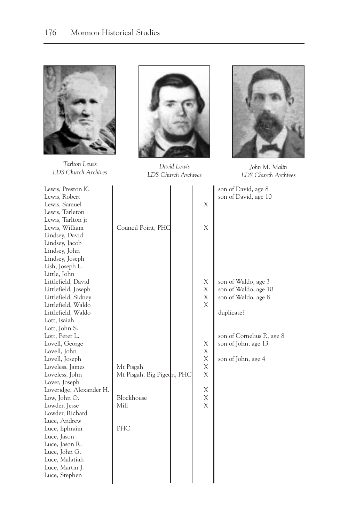

*Tarlton Lewis LDS Church Archives*



*David Lewis LDS Church Archives*



*John M. Malin LDS Church Archives*

| Lewis, Preston K.       |                            |   |
|-------------------------|----------------------------|---|
| Lewis, Robert           |                            |   |
| Lewis, Samuel           |                            | Χ |
| Lewis, Tarleton         |                            |   |
| Lewis, Tarlton jr       |                            |   |
| Lewis, William          | Council Point, PHC         | Χ |
| Lindsey, David          |                            |   |
| Lindsey, Jacob          |                            |   |
| Lindsey, John           |                            |   |
| Lindsey, Joseph         |                            |   |
| Lish, Joseph L.         |                            |   |
| Little, John            |                            |   |
| Littlefield, David      |                            | Χ |
| Littlefield, Joseph     |                            | Χ |
| Littlefield, Sidney     |                            | Χ |
| Littlefield, Waldo      |                            | X |
| Littlefield, Waldo      |                            |   |
| Lott, Isaiah            |                            |   |
| Lott, John S.           |                            |   |
| Lott, Peter L.          |                            |   |
| Lovell, George          |                            | X |
| Lovell, John            |                            | Χ |
| Lovell, Joseph          |                            | Χ |
| Loveless, James         | Mt Pisgah                  | Χ |
| Loveless, John          | Mt Pisgah, Big Pigeon, PHC | Χ |
| Lover, Joseph           |                            |   |
| Loveridge, Alexander H. |                            | X |
| Low, John O.            | Blockhouse                 | X |
| Lowder, Jesse           | Mill                       | Χ |
| Lowder, Richard         |                            |   |
| Luce, Andrew            |                            |   |
| Luce, Ephraim           | PHC                        |   |
| Luce, Jason             |                            |   |
| Luce, Jason R.          |                            |   |
| Luce, John G.           |                            |   |
| Luce, Malatiah          |                            |   |
| Luce, Martin J.         |                            |   |
| Luce, Stephen           |                            |   |
|                         |                            |   |

| Lewis, Preston K.<br>Lewis, Robert<br>Lewis, Samuel<br>Lewis, Tarleton<br>Lewis, Tarlton jr<br>Lewis, William<br>Lindsey, David<br>Lindsey, Jacob                                                                                                                                                                                                                                                                                                                                                                                                                        | Council Point, PHC                                                   | X<br>Χ                                                   | son of David, age 8<br>son of David, age 10                                                                                                                 |
|--------------------------------------------------------------------------------------------------------------------------------------------------------------------------------------------------------------------------------------------------------------------------------------------------------------------------------------------------------------------------------------------------------------------------------------------------------------------------------------------------------------------------------------------------------------------------|----------------------------------------------------------------------|----------------------------------------------------------|-------------------------------------------------------------------------------------------------------------------------------------------------------------|
| Lindsey, John<br>Lindsey, Joseph<br>Lish, Joseph L.<br>Little, John<br>Littlefield, David<br>Littlefield, Joseph<br>Littlefield, Sidney<br>Littlefield, Waldo<br>Littlefield, Waldo<br>Lott, Isaiah<br>Lott, John S.<br>Lott, Peter L.<br>Lovell, George<br>Lovell, John<br>Lovell, Joseph<br>Loveless, James<br>Loveless, John<br>Lover, Joseph<br>Loveridge, Alexander H.<br>Low, John O.<br>Lowder, Jesse<br>Lowder, Richard<br>Luce, Andrew<br>Luce, Ephraim<br>Luce, Jason<br>Luce, Jason R.<br>Luce, John G.<br>Luce, Malatiah<br>Luce, Martin J.<br>Luce, Stephen | Mt Pisgah<br>Mt Pisgah, Big Pigedn, PHC<br>Blockhouse<br>Mill<br>PHC | Х<br>Χ<br>Χ<br>Χ<br>Χ<br>Χ<br>Χ<br>Χ<br>Χ<br>Χ<br>Χ<br>X | son of Waldo, age 3<br>son of Waldo, age 10<br>son of Waldo, age 8<br>duplicate?<br>son of Cornelius P., age 8<br>son of John, age 13<br>son of John, age 4 |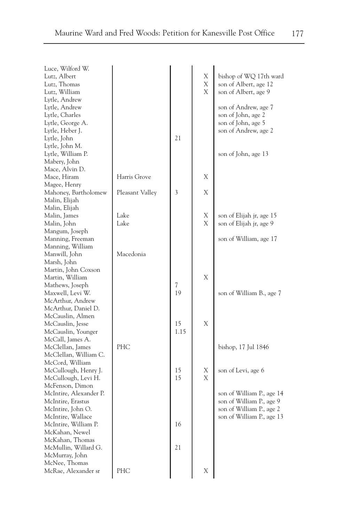| Luce, Wilford W.       |                 |      |        |                           |
|------------------------|-----------------|------|--------|---------------------------|
| Lutz, Albert           |                 |      | X      | bishop of WQ 17th ward    |
| Lutz, Thomas           |                 |      | X      | son of Albert, age 12     |
| Lutz, William          |                 |      | X      | son of Albert, age 9      |
| Lytle, Andrew          |                 |      |        |                           |
| Lytle, Andrew          |                 |      |        | son of Andrew, age 7      |
| Lytle, Charles         |                 |      |        | son of John, age 2        |
| Lytle, George A.       |                 |      |        | son of John, age 5        |
| Lytle, Heber J.        |                 |      |        | son of Andrew, age 2      |
| Lytle, John            |                 | 21   |        |                           |
| Lytle, John M.         |                 |      |        |                           |
| Lytle, William P.      |                 |      |        | son of John, age 13       |
| Mabery, John           |                 |      |        |                           |
| Mace, Alvin D.         |                 |      |        |                           |
| Mace, Hiram            | Harris Grove    |      | Χ      |                           |
| Magee, Henry           |                 |      |        |                           |
| Mahoney, Bartholomew   |                 | 3    | Χ      |                           |
|                        | Pleasant Valley |      |        |                           |
| Malin, Elijah          |                 |      |        |                           |
| Malin, Elijah          | Lake            |      |        |                           |
| Malin, James           |                 |      | Х<br>X | son of Elijah jr, age 15  |
| Malin, John            | Lake            |      |        | son of Elijah jr, age 9   |
| Mangum, Joseph         |                 |      |        |                           |
| Manning, Freeman       |                 |      |        | son of William, age 17    |
| Manning, William       |                 |      |        |                           |
| Manwill, John          | Macedonia       |      |        |                           |
| Marsh, John            |                 |      |        |                           |
| Martin, John Coxson    |                 |      |        |                           |
| Martin, William        |                 |      | X      |                           |
| Mathews, Joseph        |                 | 7    |        |                           |
| Maxwell, Levi W.       |                 | 19   |        | son of William B., age 7  |
| McArthur, Andrew       |                 |      |        |                           |
| McArthur, Daniel D.    |                 |      |        |                           |
| McCauslin, Almen       |                 |      |        |                           |
| McCauslin, Jesse       |                 | 15   | X      |                           |
| McCauslin, Younger     |                 | 1.15 |        |                           |
| McCall, James A.       |                 |      |        |                           |
| McClellan, James       | PHC             |      |        | bishop, 17 Jul 1846       |
| McClellan, William C.  |                 |      |        |                           |
| McCord, William        |                 |      |        |                           |
| McCullough, Henry J.   |                 | 15   | Х      | son of Levi, age 6        |
| McCullough, Levi H.    |                 | 15   | X      |                           |
| McFenson, Dimon        |                 |      |        |                           |
| McIntire, Alexander P. |                 |      |        | son of William P., age 14 |
| McIntire, Erastus      |                 |      |        | son of William P., age 9  |
| McIntire, John O.      |                 |      |        | son of William P., age 2  |
| McIntire, Wallace      |                 |      |        | son of William P., age 13 |
| McIntire, William P.   |                 | 16   |        |                           |
| McKahan, Newel         |                 |      |        |                           |
| McKahan, Thomas        |                 |      |        |                           |
| McMullin, Willard G.   |                 | 21   |        |                           |
| McMurray, John         |                 |      |        |                           |
| McNee, Thomas          |                 |      |        |                           |
| McRae, Alexander sr    | PHC             |      | Χ      |                           |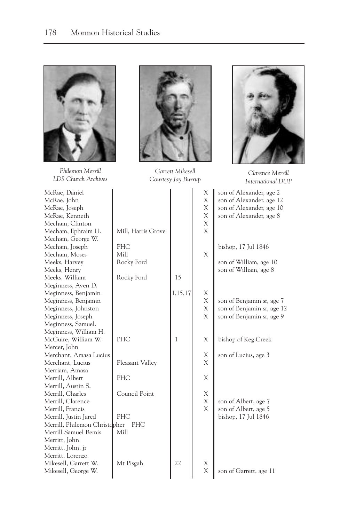

*Philemon Merrill LDS Church Archives*





*Clarence Merrill International DUP*

| McRae, Daniel                 |                    |         | Χ | son of Alexander, age 2    |
|-------------------------------|--------------------|---------|---|----------------------------|
| McRae, John                   |                    |         | X | son of Alexander, age 12   |
| McRae, Joseph                 |                    |         | X | son of Alexander, age 10   |
| McRae, Kenneth                |                    |         | X | son of Alexander, age 8    |
| Mecham, Clinton               |                    |         | X |                            |
| Mecham, Ephraim U.            | Mill, Harris Grove |         | X |                            |
| Mecham, George W.             |                    |         |   |                            |
| Mecham, Joseph                | PHC                |         |   | bishop, 17 Jul 1846        |
| Mecham, Moses                 | Mill               |         | X |                            |
| Meeks, Harvey                 | Rocky Ford         |         |   | son of William, age 10     |
| Meeks, Henry                  |                    |         |   | son of William, age 8      |
| Meeks, William                | Rocky Ford         | 15      |   |                            |
| Meginness, Aven D.            |                    |         |   |                            |
| Meginness, Benjamin           |                    | 1,15,17 | Χ |                            |
| Meginness, Benjamin           |                    |         | X | son of Benjamin sr, age 7  |
| Meginness, Johnston           |                    |         | X | son of Benjamin sr, age 12 |
| Meginness, Joseph             |                    |         | X | son of Benjamin sr, age 9  |
| Meginness, Samuel.            |                    |         |   |                            |
| Meginness, William H.         |                    |         |   |                            |
| McGuire, William W.           | PHC                | 1       | X | bishop of Keg Creek        |
| Mercer, John                  |                    |         |   |                            |
| Merchant, Amasa Lucius        |                    |         | Χ | son of Lucius, age 3       |
| Merchant, Lucius              | Pleasant Valley    |         | X |                            |
| Merriam, Amasa                |                    |         |   |                            |
| Merrill, Albert               | PHC                |         | Χ |                            |
| Merrill, Austin S.            |                    |         |   |                            |
| Merrill, Charles              | Council Point      |         | Χ |                            |
| Merrill, Clarence             |                    |         | X | son of Albert, age 7       |
| Merrill, Francis              |                    |         | X | son of Albert, age 5       |
| Merrill, Justin Jared         | PHC                |         |   | bishop, 17 Jul 1846        |
| Merrill, Philemon Christopher | PHC                |         |   |                            |
| Merrill Samuel Bemis          | Mill               |         |   |                            |
| Merritt, John                 |                    |         |   |                            |
| Merritt, John, jr             |                    |         |   |                            |
| Merritt, Lorenzo              |                    |         |   |                            |
| Mikesell, Garrett W.          | Mt Pisgah          | 22      | Χ |                            |
| Mikesell, George W.           |                    |         | X | son of Garrett, age 11     |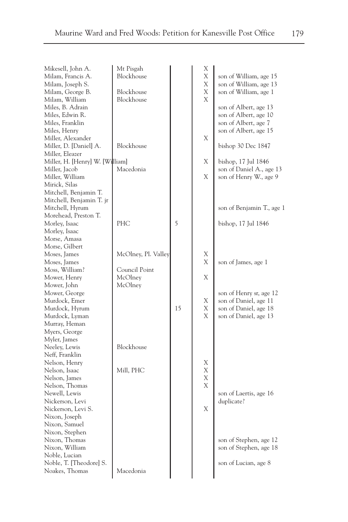| Mikesell, John A.               | Mt Pisgah           |    | Χ<br>X |                           |
|---------------------------------|---------------------|----|--------|---------------------------|
| Milam, Francis A.               | Blockhouse          |    |        | son of William, age 15    |
| Milam, Joseph S.                |                     |    | Χ      | son of William, age 13    |
| Milam, George B.                | Blockhouse          |    | Χ      | son of William, age 1     |
| Milam, William                  | Blockhouse          |    | Χ      |                           |
| Miles, B. Adrain                |                     |    |        | son of Albert, age 13     |
| Miles, Edwin R.                 |                     |    |        | son of Albert, age 10     |
| Miles, Franklin                 |                     |    |        | son of Albert, age 7      |
| Miles, Henry                    |                     |    |        | son of Albert, age 15     |
| Miller, Alexander               |                     |    | Χ      |                           |
| Miller, D. [Daniel] A.          | Blockhouse          |    |        | bishop 30 Dec 1847        |
| Miller, Eleazer                 |                     |    |        |                           |
| Miller, H. [Henry] W. [William] |                     |    | Χ      | bishop, 17 Jul 1846       |
| Miller, Jacob                   | Macedonia           |    |        | son of Daniel A., age 13  |
| Miller, William                 |                     |    | Χ      | son of Henry W., age 9    |
| Mirick, Silas                   |                     |    |        |                           |
| Mitchell, Benjamin T.           |                     |    |        |                           |
| Mitchell, Benjamin T. jr        |                     |    |        |                           |
| Mitchell, Hyrum                 |                     |    |        | son of Benjamin T., age 1 |
| Morehead, Preston T.            |                     |    |        |                           |
| Morley, Isaac                   | PHC                 | 5  |        | bishop, 17 Jul 1846       |
| Morley, Isaac                   |                     |    |        |                           |
| Morse, Amasa                    |                     |    |        |                           |
| Morse, Gilbert                  |                     |    | Χ      |                           |
| Moses, James<br>Moses, James    | McOlney, Pl. Valley |    | Χ      |                           |
| Moss, William?                  | Council Point       |    |        | son of James, age 1       |
| Mower, Henry                    | McOlney             |    | Χ      |                           |
| Mower, John                     | McOlney             |    |        |                           |
| Mower, George                   |                     |    |        | son of Henry sr, age 12   |
| Murdock, Emer                   |                     |    | Χ      | son of Daniel, age 11     |
| Murdock, Hyrum                  |                     | 15 | Χ      | son of Daniel, age 18     |
| Murdock, Lyman                  |                     |    | X      | son of Daniel, age 13     |
| Murray, Heman                   |                     |    |        |                           |
| Myers, George                   |                     |    |        |                           |
| Myler, James                    |                     |    |        |                           |
| Neeley, Lewis                   | Blockhouse          |    |        |                           |
| Neff, Franklin                  |                     |    |        |                           |
| Nelson, Henry                   |                     |    | Χ      |                           |
| Nelson, Isaac                   | Mill, PHC           |    | Χ      |                           |
| Nelson, James                   |                     |    | Χ      |                           |
| Nelson, Thomas                  |                     |    | Χ      |                           |
| Newell, Lewis                   |                     |    |        | son of Laertis, age 16    |
| Nickerson, Levi                 |                     |    |        | duplicate?                |
| Nickerson, Levi S.              |                     |    | Χ      |                           |
| Nixon, Joseph                   |                     |    |        |                           |
| Nixon, Samuel                   |                     |    |        |                           |
| Nixon, Stephen                  |                     |    |        |                           |
| Nixon, Thomas                   |                     |    |        | son of Stephen, age 12    |
| Nixon, William                  |                     |    |        | son of Stephen, age 18    |
| Noble, Lucian                   |                     |    |        |                           |
| Noble, T. [Theodore] S.         |                     |    |        | son of Lucian, age 8      |
| Noakes, Thomas                  | Macedonia           |    |        |                           |
|                                 |                     |    |        |                           |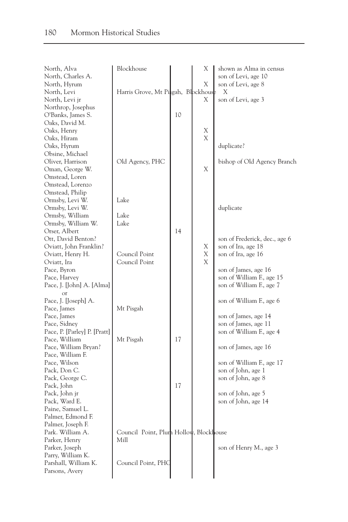| North, Alva                  | Blockhouse                             |    | Х | shown as Alma in census       |
|------------------------------|----------------------------------------|----|---|-------------------------------|
| North, Charles A.            |                                        |    |   | son of Levi, age 10           |
| North, Hyrum                 |                                        |    | X | son of Levi, age 8            |
| North, Levi                  | Harris Grove, Mt Pisgah, Blockhouse    |    |   | Χ                             |
| North, Levi jr               |                                        |    | Χ | son of Levi, age 3            |
| Northrop, Josephus           |                                        |    |   |                               |
| O'Banks, James S.            |                                        | 10 |   |                               |
| Oaks, David M.               |                                        |    |   |                               |
| Oaks, Henry                  |                                        |    | Х |                               |
| Oaks, Hiram                  |                                        |    | Χ |                               |
| Oaks, Hyrum                  |                                        |    |   | duplicate?                    |
| Obsine, Michael              |                                        |    |   |                               |
| Oliver, Harrison             | Old Agency, PHC                        |    |   | bishop of Old Agency Branch   |
| Oman, George W.              |                                        |    | X |                               |
| Omstead, Loren               |                                        |    |   |                               |
| Omstead, Lorenzo             |                                        |    |   |                               |
| Omstead, Philip              |                                        |    |   |                               |
| Ormsby, Levi W.              | Lake                                   |    |   |                               |
| Ormsby, Levi W.              |                                        |    |   | duplicate                     |
| Ormsby, William              | Lake                                   |    |   |                               |
| Ormsby, William W.           | Lake                                   |    |   |                               |
| Orser, Albert                |                                        | 14 |   |                               |
| Ott, David Benton?           |                                        |    |   | son of Frederick, dec., age 6 |
| Oviatt, John Franklin?       |                                        |    | Χ | son of Ira, age 18            |
| Oviatt, Henry H.             | Council Point                          |    | Х | son of Ira, age 16            |
| Oviatt, Ira                  | Council Point                          |    | X |                               |
| Pace, Byron                  |                                        |    |   | son of James, age 16          |
| Pace, Harvey                 |                                        |    |   | son of William F., age 15     |
| Pace, J. [John] A. [Alma]    |                                        |    |   | son of William F., age 7      |
| $\alpha$ r                   |                                        |    |   |                               |
| Pace, J. [Joseph] A.         |                                        |    |   | son of William F., age 6      |
| Pace, James                  | Mt Pisgah                              |    |   |                               |
| Pace, James                  |                                        |    |   | son of James, age 14          |
| Pace, Sidney                 |                                        |    |   | son of James, age 11          |
| Pace, P. [Parley] P. [Pratt] |                                        |    |   | son of William F., age 4      |
| Pace, William                | Mt Pisgah                              | 17 |   |                               |
| Pace, William Bryan?         |                                        |    |   | son of James, age 16          |
| Pace, William F.             |                                        |    |   |                               |
| Pace, Wilson                 |                                        |    |   | son of William F., age 17     |
| Pack, Don C.                 |                                        |    |   | son of John, age 1            |
| Pack, George C.              |                                        |    |   | son of John, age 8            |
| Pack, John                   |                                        | 17 |   |                               |
| Pack, John jr                |                                        |    |   | son of John, age 5            |
| Pack, Ward E.                |                                        |    |   | son of John, age 14           |
| Paine, Samuel L.             |                                        |    |   |                               |
| Palmer, Edmond F.            |                                        |    |   |                               |
| Palmer, Joseph F.            |                                        |    |   |                               |
| Park. William A.             | Council Point, Plum Hollow, Blockhouse |    |   |                               |
| Parker, Henry                | Mill                                   |    |   |                               |
| Parker, Joseph               |                                        |    |   | son of Henry M., age 3        |
| Parry, William K.            |                                        |    |   |                               |
| Parshall, William K.         | Council Point, PHC                     |    |   |                               |
| Parsons, Avery               |                                        |    |   |                               |
|                              |                                        |    |   |                               |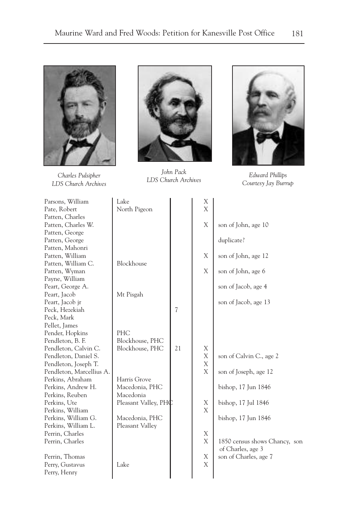

*Charles Pulsipher LDS Church Archives*



*John Pack LDS Church Archives Edward Phillips*



*Courtesy Jay Burrup*

| Parsons, William         | Lake                 |    | Χ<br>X |                               |
|--------------------------|----------------------|----|--------|-------------------------------|
| Pate, Robert             | North Pigeon         |    |        |                               |
| Patten, Charles          |                      |    | X      |                               |
| Patten, Charles W.       |                      |    |        | son of John, age 10           |
| Patten, George           |                      |    |        |                               |
| Patten, George           |                      |    |        | duplicate?                    |
| Patten, Mahonri          |                      |    |        |                               |
| Patten, William          |                      |    | X      | son of John, age 12           |
| Patten, William C.       | Blockhouse           |    |        |                               |
| Patten, Wyman            |                      |    | X      | son of John, age 6            |
| Payne, William           |                      |    |        |                               |
| Peart, George A.         |                      |    |        | son of Jacob, age 4           |
| Peart, Jacob             | Mt Pisgah            |    |        |                               |
| Peart, Jacob jr          |                      |    |        | son of Jacob, age 13          |
| Peck, Hezekiah           |                      | 7  |        |                               |
| Peck, Mark               |                      |    |        |                               |
| Pellet, James            |                      |    |        |                               |
| Pender, Hopkins          | PHC                  |    |        |                               |
| Pendleton, B. F.         | Blockhouse, PHC      |    |        |                               |
| Pendleton, Calvin C.     | Blockhouse, PHC      | 21 | X      |                               |
| Pendleton, Daniel S.     |                      |    | Χ      | son of Calvin C., age 2       |
| Pendleton, Joseph T.     |                      |    | X      |                               |
| Pendleton, Marcellius A. |                      |    | X      | son of Joseph, age 12         |
| Perkins, Abraham         | Harris Grove         |    |        |                               |
| Perkins, Andrew H.       | Macedonia, PHC       |    |        | bishop, 17 Jun 1846           |
| Perkins, Reuben          | Macedonia            |    |        |                               |
| Perkins, Ute             | Pleasant Valley, PHC |    | X      | bishop, 17 Jul 1846           |
| Perkins, William         |                      |    | X      |                               |
| Perkins, William G.      | Macedonia, PHC       |    |        | bishop, 17 Jun 1846           |
| Perkins, William L.      | Pleasant Valley      |    |        |                               |
| Perrin, Charles          |                      |    | X      |                               |
| Perrin, Charles          |                      |    | X      | 1850 census shows Chancy, son |
|                          |                      |    |        | of Charles, age 3             |
| Perrin, Thomas           |                      |    | X      | son of Charles, age 7         |
| Perry, Gustavus          | Lake                 |    | X      |                               |
| Perry, Henry             |                      |    |        |                               |
|                          |                      |    |        |                               |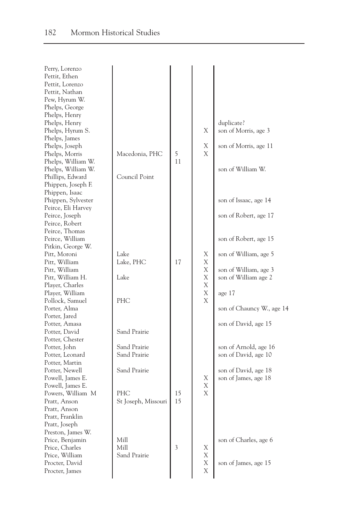| Perry, Lorenzo                    |                     |          |   |                           |
|-----------------------------------|---------------------|----------|---|---------------------------|
| Pettit, Ethen                     |                     |          |   |                           |
| Pettit, Lorenzo                   |                     |          |   |                           |
| Pettit, Nathan                    |                     |          |   |                           |
| Pew, Hyrum W.                     |                     |          |   |                           |
| Phelps, George                    |                     |          |   |                           |
| Phelps, Henry                     |                     |          |   |                           |
| Phelps, Henry                     |                     |          |   | duplicate?                |
| Phelps, Hyrum S.                  |                     |          | Χ | son of Morris, age 3      |
| Phelps, James                     |                     |          |   |                           |
| Phelps, Joseph                    |                     |          | Χ | son of Morris, age 11     |
| Phelps, Morris                    | Macedonia, PHC      | 5        | X |                           |
| Phelps, William W.                |                     | 11       |   |                           |
| Phelps, William W.                |                     |          |   | son of William W.         |
| Phillips, Edward                  | Council Point       |          |   |                           |
| Phippen, Joseph F.                |                     |          |   |                           |
| Phippen, Isaac                    |                     |          |   |                           |
| Phippen, Sylvester                |                     |          |   | son of Issaac, age 14     |
| Peirce, Eli Harvey                |                     |          |   |                           |
| Peirce, Joseph                    |                     |          |   | son of Robert, age 17     |
| Peirce, Robert                    |                     |          |   |                           |
| Peirce, Thomas                    |                     |          |   |                           |
| Peirce, William                   |                     |          |   | son of Robert, age 15     |
| Pitkin, George W.                 |                     |          |   |                           |
| Pitt, Moroni                      | Lake                |          | Χ | son of William, age 5     |
| Pitt, William                     | Lake, PHC           | 17       | Χ |                           |
| Pitt, William                     |                     |          | X | son of William, age 3     |
| Pitt, William H.                  | Lake                |          | Χ | son of William age 2      |
| Player, Charles                   |                     |          | X |                           |
| Player, William                   |                     |          | X | age 17                    |
| Pollock, Samuel                   | <b>PHC</b>          |          | X |                           |
| Porter, Alma                      |                     |          |   | son of Chauncy W., age 14 |
| Porter, Jared                     |                     |          |   |                           |
| Potter, Amasa                     |                     |          |   | son of David, age 15      |
| Potter, David                     | Sand Prairie        |          |   |                           |
| Potter, Chester                   |                     |          |   |                           |
| Potter, John                      | Sand Prairie        |          |   | son of Arnold, age 16     |
| Potter, Leonard                   | Sand Prairie        |          |   | son of David, age 10      |
| Potter, Martin                    |                     |          |   |                           |
| Potter, Newell                    | Sand Prairie        |          |   | son of David, age 18      |
| Powell, James E.                  |                     |          | Χ | son of James, age 18      |
| Powell, James E.                  |                     |          | Χ |                           |
|                                   | PHC                 |          | X |                           |
| Powers, William M<br>Pratt, Anson |                     | 15<br>15 |   |                           |
|                                   | St Joseph, Missouri |          |   |                           |
| Pratt, Anson                      |                     |          |   |                           |
| Pratt, Franklin                   |                     |          |   |                           |
| Pratt, Joseph                     |                     |          |   |                           |
| Preston, James W.                 |                     |          |   |                           |
| Price, Benjamin                   | Mill                |          |   | son of Charles, age 6     |
| Price, Charles                    | Mill                | 3        | Χ |                           |
| Price, William                    | Sand Prairie        |          | Χ |                           |
| Procter, David                    |                     |          | Χ | son of James, age 15      |
| Procter, James                    |                     |          | X |                           |
|                                   |                     |          |   |                           |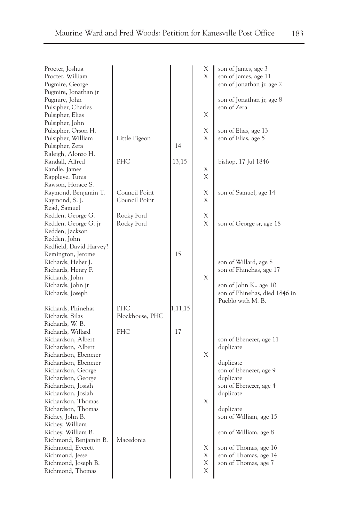| Procter, Joshua<br>Procter, William<br>Pugmire, George                          |                                |             | Χ<br>X | son of James, age 3<br>son of James, age 11<br>son of Jonathan jr, age 2     |
|---------------------------------------------------------------------------------|--------------------------------|-------------|--------|------------------------------------------------------------------------------|
| Pugmire, Jonathan jr<br>Pugmire, John<br>Pulsipher, Charles<br>Pulsipher, Elias |                                |             | Χ      | son of Jonathan jr, age 8<br>son of Zera                                     |
| Pulsipher, John<br>Pulsipher, Orson H.<br>Pulsipher, William                    | Little Pigeon                  |             | Χ<br>X | son of Elias, age 13<br>son of Elias, age 5                                  |
| Pulsipher, Zera<br>Raleigh, Alonzo H.<br>Randall, Alfred                        | PHC                            | 14<br>13,15 |        | bishop, 17 Jul 1846                                                          |
| Randle, James<br>Rappleye, Tunis<br>Rawson, Horace S.                           |                                |             | Χ<br>Χ |                                                                              |
| Raymond, Benjamin T.<br>Raymond, S. J.                                          | Council Point<br>Council Point |             | Χ<br>Χ | son of Samuel, age 14                                                        |
| Read, Samuel<br>Redden, George G.<br>Redden, George G. jr<br>Redden, Jackson    | Rocky Ford<br>Rocky Ford       |             | Χ<br>X | son of George sr, age 18                                                     |
| Redden, John<br>Redfield, David Harvey?<br>Remington, Jerome                    |                                | 15          |        |                                                                              |
| Richards, Heber J.<br>Richards, Henry P.<br>Richards, John                      |                                |             | X      | son of Willard, age 8<br>son of Phinehas, age 17                             |
| Richards, John jr<br>Richards, Joseph                                           |                                |             |        | son of John K., age 10<br>son of Phinehas, died 1846 in<br>Pueblo with M. B. |
| Richards, Phinehas<br>Richards, Silas<br>Richards, W. B.                        | <b>PHC</b><br>Blockhouse, PHC  | 1,11,15     |        |                                                                              |
| Richards, Willard<br>Richardson, Albert<br>Richardson, Albert                   | PHC                            | 17          |        | son of Ebenezer, age 11<br>duplicate                                         |
| Richardson, Ebenezer<br>Richardson, Ebenezer                                    |                                |             | Χ      | duplicate                                                                    |
| Richardson, George<br>Richardson, George<br>Richardson, Josiah                  |                                |             |        | son of Ebenezer, age 9<br>duplicate<br>son of Ebenezer, age 4                |
| Richardson, Josiah<br>Richardson, Thomas<br>Richardson, Thomas                  |                                |             | Χ      | duplicate<br>duplicate                                                       |
| Richey, John B.<br>Richey, William<br>Richey, William B.                        |                                |             |        | son of William, age 15<br>son of William, age 8                              |
| Richmond, Benjamin B.<br>Richmond, Everett<br>Richmond, Jesse                   | Macedonia                      |             | Χ<br>Χ | son of Thomas, age 16<br>son of Thomas, age 14                               |
| Richmond, Joseph B.<br>Richmond, Thomas                                         |                                |             | Χ<br>X | son of Thomas, age 7                                                         |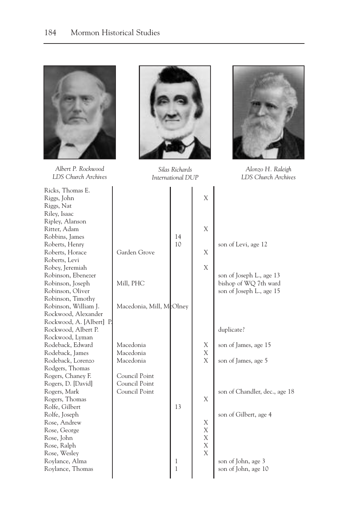

*Albert P. Rockwood LDS Church Archives*

Ricks, Thomas E. Riggs, John Riggs, Nat Riley, Isaac Ripley, Alanson Ritter, Adam Robbins, James Roberts, Henry Roberts, Horace Roberts, Levi Robey, Jeremiah Robinson, Ebenezer Robinson, Joseph Robinson, Oliver Robinson, Timothy Robinson, William J. Rockwood, Alexander Rockwood, A. [Albert] P. Rockwood, Albert P. Rockwood, Lyman Rodeback, Edward Rodeback, James Rodeback, Lorenzo Rodgers, Thomas Rogers, Chaney F. Rogers, D. [David] Rogers, Mark Rogers, Thomas Rolfe, Gilbert Rolfe, Joseph Rose, Andrew Rose, George Rose, John Rose, Ralph Rose, Wesley Roylance, Alma Roylance, Thomas



*Silas Richards International DUP*



*Alonzo H. Raleigh LDS Church Archives*

|                                                 |        | X                |                                                   |
|-------------------------------------------------|--------|------------------|---------------------------------------------------|
|                                                 | 14     | X                |                                                   |
| Garden Grove                                    | 10     | X                | son of Levi, age 12                               |
|                                                 |        | X                | son of Joseph L., age 13                          |
| Mill, PHC                                       |        |                  | bishop of WQ 7th ward<br>son of Joseph L., age 15 |
| Macedonia, Mill, McOlney                        |        |                  |                                                   |
|                                                 |        |                  | duplicate?                                        |
| Macedonia<br>Macedonia                          |        | Х<br>X           | son of James, age 15                              |
| Macedonia                                       |        | X                | son of James, age 5                               |
| Council Point<br>Council Point<br>Council Point |        | X                | son of Chandler, dec., age 18                     |
|                                                 | 13     |                  | son of Gilbert, age 4                             |
|                                                 |        | Χ<br>$\mathbf X$ |                                                   |
|                                                 |        | X<br>X<br>X      |                                                   |
|                                                 | 1<br>1 |                  | son of John, age 3<br>son of John, age 10         |
|                                                 |        |                  |                                                   |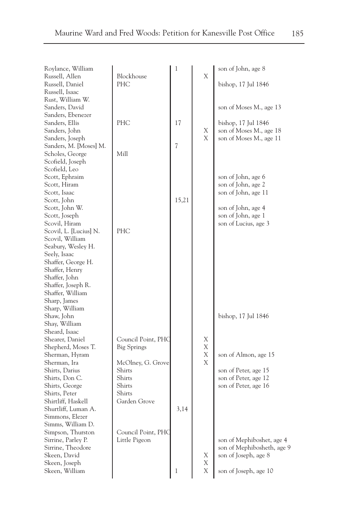| Roylance, William      |                    | 1     |   | son of John, age 8         |
|------------------------|--------------------|-------|---|----------------------------|
| Russell, Allen         | Blockhouse         |       | Χ |                            |
| Russell, Daniel        | PHC                |       |   | bishop, 17 Jul 1846        |
| Russell, Isaac         |                    |       |   |                            |
| Rust, William W.       |                    |       |   |                            |
| Sanders, David         |                    |       |   | son of Moses M., age 13    |
| Sanders, Ebenezer      |                    |       |   |                            |
| Sanders, Ellis         | <b>PHC</b>         | 17    |   | bishop, 17 Jul 1846        |
| Sanders, John          |                    |       | Х | son of Moses M., age 18    |
| Sanders, Joseph        |                    |       | X | son of Moses M., age 11    |
| Sanders, M. [Moses] M. |                    | 7     |   |                            |
| Scholes, George        | Mill               |       |   |                            |
| Scofield, Joseph       |                    |       |   |                            |
| Scofield, Leo          |                    |       |   |                            |
| Scott, Ephraim         |                    |       |   | son of John, age 6         |
| Scott, Hiram           |                    |       |   | son of John, age 2         |
| Scott, Isaac           |                    |       |   | son of John, age 11        |
| Scott, John            |                    | 15,21 |   |                            |
| Scott, John W.         |                    |       |   | son of John, age 4         |
| Scott, Joseph          |                    |       |   | son of John, age 1         |
| Scovil, Hiram          |                    |       |   | son of Lucius, age 3       |
| Scovil, L. [Lucius] N. | PHC                |       |   |                            |
| Scovil, William        |                    |       |   |                            |
| Seabury, Wesley H.     |                    |       |   |                            |
| Seely, Isaac           |                    |       |   |                            |
| Shaffer, George H.     |                    |       |   |                            |
| Shaffer, Henry         |                    |       |   |                            |
| Shaffer, John          |                    |       |   |                            |
| Shaffer, Joseph R.     |                    |       |   |                            |
| Shaffer, William       |                    |       |   |                            |
| Sharp, James           |                    |       |   |                            |
| Sharp, William         |                    |       |   |                            |
| Shaw, John             |                    |       |   | bishop, 17 Jul 1846        |
| Shay, William          |                    |       |   |                            |
| Sheard, Isaac          |                    |       |   |                            |
| Shearer, Daniel        | Council Point, PHC |       | Χ |                            |
| Shepherd, Moses T.     | <b>Big Springs</b> |       | Χ |                            |
| Sherman, Hyram         |                    |       | Χ | son of Almon, age 15       |
| Sherman, Ira           | McOlney, G. Grove  |       | X |                            |
| Shirts, Darius         | Shirts             |       |   | son of Peter, age 15       |
| Shirts, Don C.         | Shirts             |       |   | son of Peter, age 12       |
| Shirts, George         | Shirts             |       |   | son of Peter, age 16       |
| Shirts, Peter          | Shirts             |       |   |                            |
| Shirtliff, Haskell     | Garden Grove       |       |   |                            |
| Shurtliff, Luman A.    |                    | 3,14  |   |                            |
| Simmons, Elezer        |                    |       |   |                            |
| Simms, William D.      |                    |       |   |                            |
| Simpson, Thurston      | Council Point, PHC |       |   |                            |
| Sirrine, Parley P.     | Little Pigeon      |       |   | son of Mephiboshet, age 4  |
| Sirrine, Theodore      |                    |       |   | son of Mephibosheth, age 9 |
| Skeen, David           |                    |       | Χ | son of Joseph, age 8       |
| Skeen, Joseph          |                    |       | Χ |                            |
| Skeen, William         |                    | 1     | X | son of Joseph, age 10      |
|                        |                    |       |   |                            |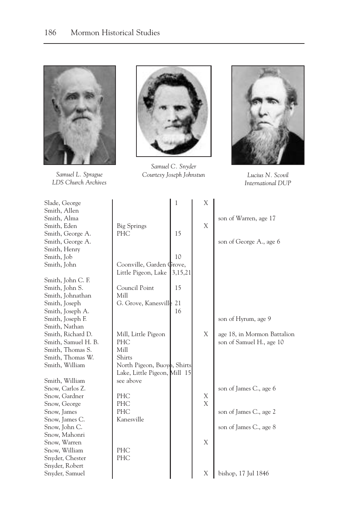

*Samuel L. Sprague LDS Church Archives*



*Samuel C. Snyder Courtesy Joseph Johnstun Lucius N. Scovil*



*International DUP*

| Slade, George       |                              | 1       | Х |                             |
|---------------------|------------------------------|---------|---|-----------------------------|
| Smith, Allen        |                              |         |   |                             |
| Smith, Alma         |                              |         | X | son of Warren, age 17       |
| Smith, Eden         | <b>Big Springs</b><br>PHC    | 15      |   |                             |
| Smith, George A.    |                              |         |   |                             |
| Smith, George A.    |                              |         |   | son of George A., age 6     |
| Smith, Henry        |                              |         |   |                             |
| Smith, Job          |                              | 10      |   |                             |
| Smith, John         | Coonville, Garden Grove,     |         |   |                             |
|                     | Little Pigeon, Lake          | 3,15,21 |   |                             |
| Smith, John C. F.   |                              |         |   |                             |
| Smith, John S.      | Council Point                | 15      |   |                             |
| Smith, Johnathan    | Mill                         |         |   |                             |
| Smith, Joseph       | G. Grove, Kanesville         | 21      |   |                             |
| Smith, Joseph A.    |                              | 16      |   |                             |
| Smith, Joseph F.    |                              |         |   | son of Hyrum, age 9         |
| Smith, Nathan       |                              |         |   |                             |
| Smith, Richard D.   | Mill, Little Pigeon          |         | Χ | age 18, in Mormon Battalion |
| Smith, Samuel H. B. | PHC                          |         |   | son of Samuel H., age 10    |
| Smith, Thomas S.    | Mill                         |         |   |                             |
| Smith, Thomas W.    | Shirts                       |         |   |                             |
| Smith, William      | North Pigeon, Buoyo, Shirts  |         |   |                             |
|                     | Lake, Little Pigeon, Mill 15 |         |   |                             |
| Smith, William      | see above                    |         |   |                             |
| Snow, Carlos Z.     |                              |         |   | son of James C., age 6      |
| Snow, Gardner       | PHC                          |         | Х |                             |
| Snow, George        | PHC                          |         | X |                             |
| Snow, James         | PHC                          |         |   | son of James C., age 2      |
| Snow, James C.      | Kanesville                   |         |   |                             |
| Snow, John C.       |                              |         |   | son of James C., age 8      |
| Snow, Mahonri       |                              |         |   |                             |
| Snow, Warren        |                              |         | X |                             |
| Snow, William       | PHC                          |         |   |                             |
| Snyder, Chester     | PHC                          |         |   |                             |
| Snyder, Robert      |                              |         |   |                             |
| Snyder, Samuel      |                              |         | Χ | bishop, 17 Jul 1846         |
|                     |                              |         |   |                             |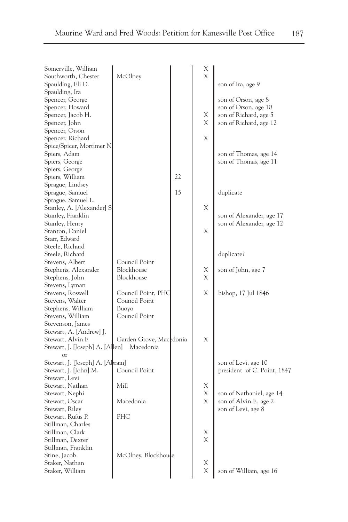| - -<br>w<br>۰. |
|----------------|
|                |

| Somerville, William              |                         |    | Х              |                             |
|----------------------------------|-------------------------|----|----------------|-----------------------------|
| Southworth, Chester              | McOlney                 |    | $\overline{X}$ |                             |
| Spaulding, Eli D.                |                         |    |                | son of Ira, age 9           |
| Spaulding, Ira                   |                         |    |                |                             |
| Spencer, George                  |                         |    |                | son of Orson, age 8         |
| Spencer, Howard                  |                         |    |                | son of Orson, age 10        |
| Spencer, Jacob H.                |                         |    | Χ              | son of Richard, age 5       |
| Spencer, John                    |                         |    | Χ              | son of Richard, age 12      |
| Spencer, Orson                   |                         |    |                |                             |
| Spencer, Richard                 |                         |    | X              |                             |
| Spice/Spicer, Mortimer N         |                         |    |                |                             |
| Spiers, Adam                     |                         |    |                | son of Thomas, age 14       |
| Spiers, George                   |                         |    |                | son of Thomas, age 11       |
| Spiers, George                   |                         |    |                |                             |
| Spiers, William                  |                         | 22 |                |                             |
| Sprague, Lindsey                 |                         |    |                |                             |
| Sprague, Samuel                  |                         | 15 |                | duplicate                   |
| Sprague, Samuel L.               |                         |    |                |                             |
| Stanley, A. [Alexander] S        |                         |    | Χ              |                             |
| Stanley, Franklin                |                         |    |                | son of Alexander, age 17    |
| Stanley, Henry                   |                         |    |                | son of Alexander, age 12    |
| Stanton, Daniel                  |                         |    | Χ              |                             |
| Starr, Edward                    |                         |    |                |                             |
| Steele, Richard                  |                         |    |                |                             |
|                                  |                         |    |                |                             |
| Steele, Richard                  |                         |    |                | duplicate?                  |
| Stevens, Albert                  | Council Point           |    |                |                             |
| Stephens, Alexander              | Blockhouse              |    | Х              | son of John, age 7          |
| Stephens, John                   | Blockhouse              |    | X              |                             |
| Stevens, Lyman                   |                         |    |                |                             |
| Stevens, Roswell                 | Council Point, PHC      |    | X              | bishop, 17 Jul 1846         |
| Stevens, Walter                  | Council Point           |    |                |                             |
| Stephens, William                | Buoyo                   |    |                |                             |
| Stevens, William                 | Council Point           |    |                |                             |
| Stevenson, James                 |                         |    |                |                             |
| Stewart, A. [Andrew] J.          |                         |    |                |                             |
| Stewart, Alvin F.                | Garden Grove, Macedonia |    | X              |                             |
| Stewart, J. [Joseph] A. [Allen]  | Macedonia               |    |                |                             |
|                                  |                         |    |                |                             |
| Stewart, J. [Joseph] A. [Albram] |                         |    |                | son of Levi, age 10         |
| Stewart, J. [John] M.            | Council Point           |    |                | president of C. Point, 1847 |
| Stewart, Levi                    |                         |    |                |                             |
| Stewart, Nathan                  | Mill                    |    | Χ              |                             |
| Stewart, Nephi                   |                         |    | Χ              | son of Nathaniel, age 14    |
| Stewart, Oscar                   | Macedonia               |    | X              | son of Alvin F., age 2      |
| Stewart, Riley                   |                         |    |                | son of Levi, age 8          |
| Stewart, Rufus P.                | PHC                     |    |                |                             |
| Stillman, Charles                |                         |    |                |                             |
| Stillman, Clark                  |                         |    | Х              |                             |
| Stillman, Dexter                 |                         |    | X              |                             |
| Stillman, Franklin               |                         |    |                |                             |
| Stine, Jacob                     | McOlney, Blockhouse     |    |                |                             |
| Staker, Nathan                   |                         |    | Χ              |                             |
| Staker, William                  |                         |    | Χ              | son of William, age 16      |
|                                  |                         |    |                |                             |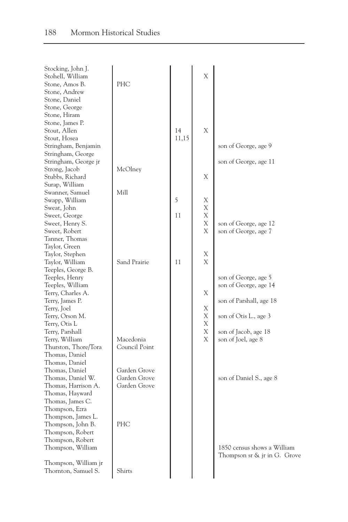| Stocking, John J.    |               |       |   |                                 |
|----------------------|---------------|-------|---|---------------------------------|
| Stohell, William     |               |       | X |                                 |
| Stone, Amos B.       | PHC           |       |   |                                 |
| Stone, Andrew        |               |       |   |                                 |
| Stone, Daniel        |               |       |   |                                 |
| Stone, George        |               |       |   |                                 |
| Stone, Hiram         |               |       |   |                                 |
| Stone, James P.      |               |       |   |                                 |
| Stout, Allen         |               | 14    | X |                                 |
| Stout, Hosea         |               | 11,15 |   |                                 |
| Stringham, Benjamin  |               |       |   | son of George, age 9            |
| Stringham, George    |               |       |   |                                 |
| Stringham, George jr |               |       |   | son of George, age 11           |
| Strong, Jacob        | McOlney       |       |   |                                 |
| Stubbs, Richard      |               |       | Χ |                                 |
| Surap, William       |               |       |   |                                 |
| Swanner, Samuel      | Mill          |       |   |                                 |
| Swapp, William       |               | 5     | Χ |                                 |
| Sweat, John          |               |       | X |                                 |
| Sweet, George        |               | 11    | Χ |                                 |
| Sweet, Henry S.      |               |       | X | son of George, age 12           |
| Sweet, Robert        |               |       | Χ | son of George, age 7            |
| Tanner, Thomas       |               |       |   |                                 |
| Taylor, Green        |               |       |   |                                 |
| Taylor, Stephen      |               |       | Χ |                                 |
| Taylor, William      | Sand Prairie  | 11    | X |                                 |
|                      |               |       |   |                                 |
| Teeples, George B.   |               |       |   |                                 |
| Teeples, Henry       |               |       |   | son of George, age 5            |
| Teeples, William     |               |       |   | son of George, age 14           |
| Terry, Charles A.    |               |       | Χ |                                 |
| Terry, James P.      |               |       |   | son of Parshall, age 18         |
| Terry, Joel          |               |       | Χ |                                 |
| Terry, Orson M.      |               |       | Χ | son of Otis L., age 3           |
| Terry, Otis L        |               |       | Χ |                                 |
| Terry, Parshall      |               |       | X | son of Jacob, age 18            |
| Terry, William       | Macedonia     |       | X | son of Joel, age 8              |
| Thurston, Thore/Tora | Council Point |       |   |                                 |
| Thomas, Daniel       |               |       |   |                                 |
| Thomas, Daniel       |               |       |   |                                 |
| Thomas, Daniel       | Garden Grove  |       |   |                                 |
| Thomas, Daniel W.    | Garden Grove  |       |   | son of Daniel S., age 8         |
| Thomas, Harrison A.  | Garden Grove  |       |   |                                 |
| Thomas, Hayward      |               |       |   |                                 |
| Thomas, James C.     |               |       |   |                                 |
| Thompson, Ezra       |               |       |   |                                 |
| Thompson, James L.   |               |       |   |                                 |
| Thompson, John B.    | <b>PHC</b>    |       |   |                                 |
| Thompson, Robert     |               |       |   |                                 |
| Thompson, Robert     |               |       |   |                                 |
| Thompson, William    |               |       |   | 1850 census shows a William     |
|                      |               |       |   | Thompson sr $\&$ jr in G. Grove |
| Thompson, William jr |               |       |   |                                 |
| Thornton, Samuel S.  | Shirts        |       |   |                                 |
|                      |               |       |   |                                 |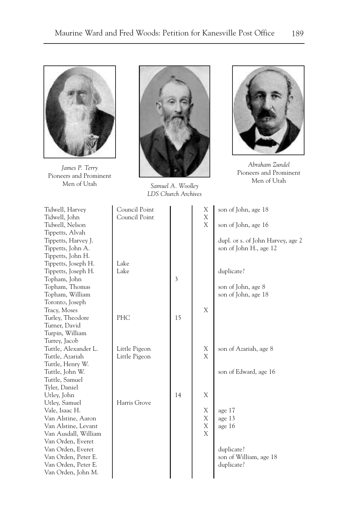

*James P. Terry* Pioneers and Prominent Men of Utah



*Samuel A. Woolley LDS Church Archives*



*Abraham Zundel* Pioneers and Prominent Men of Utah

| Tidwell, Harvey      | Council Point |    | Χ | son of John, age 18               |
|----------------------|---------------|----|---|-----------------------------------|
| Tidwell, John        | Council Point |    | X |                                   |
| Tidwell, Nelson      |               |    | X | son of John, age 16               |
| Tippetts, Alvah      |               |    |   |                                   |
| Tippetts, Harvey J.  |               |    |   | dupl. or s. of John Harvey, age 2 |
| Tippetts, John A.    |               |    |   | son of John H., age 12            |
| Tippetts, John H.    |               |    |   |                                   |
| Tippetts, Joseph H.  | Lake          |    |   |                                   |
| Tippetts, Joseph H.  | Lake          |    |   | duplicate?                        |
| Topham, John         |               | 3  |   |                                   |
| Topham, Thomas       |               |    |   | son of John, age 8                |
| Topham, William      |               |    |   | son of John, age 18               |
| Toronto, Joseph      |               |    |   |                                   |
| Tracy, Moses         |               |    | X |                                   |
| Turley, Theodore     | <b>PHC</b>    | 15 |   |                                   |
| Turner, David        |               |    |   |                                   |
| Turpin, William      |               |    |   |                                   |
| Turrey, Jacob        |               |    |   |                                   |
| Tuttle, Alexander L. | Little Pigeon |    | Χ | son of Azariah, age 8             |
| Tuttle, Azariah      | Little Pigeon |    | X |                                   |
| Tuttle, Henry W.     |               |    |   |                                   |
| Tuttle, John W.      |               |    |   | son of Edward, age 16             |
| Tuttle, Samuel       |               |    |   |                                   |
| Tyler, Daniel        |               |    |   |                                   |
| Utley, John          |               | 14 | X |                                   |
| Utley, Samuel        | Harris Grove  |    |   |                                   |
| Vale, Isaac H.       |               |    | X | age 17                            |
| Van Alstine, Aaron   |               |    | Χ | age 13                            |
| Van Alstine, Levant  |               |    | X |                                   |
| Van Ausdall, William |               |    | X | age 16                            |
| Van Orden, Everet    |               |    |   |                                   |
| Van Orden, Everet    |               |    |   | duplicate?                        |
| Van Orden, Peter E.  |               |    |   | son of William, age 18            |
|                      |               |    |   |                                   |
| Van Orden, Peter E.  |               |    |   | duplicate?                        |
| Van Orden, John M.   |               |    |   |                                   |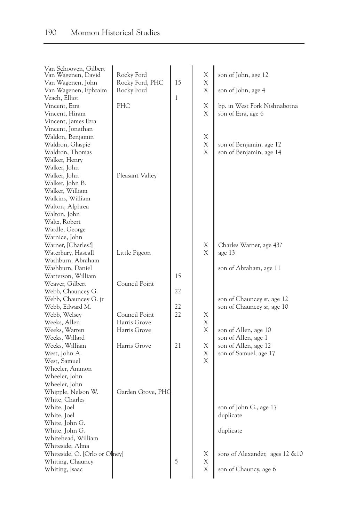| Van Schooven, Gilbert<br>Van Wagenen, David<br>Van Wagenen, John<br>Van Wagenen, Ephraim<br>Veach, Elliot<br>Vincent, Ezra<br>Vincent, Hiram<br>Vincent, James Ezra                                                                                           | Rocky Ford<br>Rocky Ford, PHC<br>Rocky Ford<br>PHC | 15<br>$\mathbf{1}$ | Χ<br>Χ<br>X<br>Χ<br>X | son of John, age 12<br>son of John, age 4<br>bp. in West Fork Nishnabotna<br>son of Ezra, age 6 |
|---------------------------------------------------------------------------------------------------------------------------------------------------------------------------------------------------------------------------------------------------------------|----------------------------------------------------|--------------------|-----------------------|-------------------------------------------------------------------------------------------------|
| Vincent, Jonathan<br>Waldon, Benjamin<br>Waldron, Glaspie<br>Waldron, Thomas<br>Walker, Henry<br>Walker, John<br>Walker, John<br>Walker, John B.<br>Walker, William<br>Walkins, William<br>Walton, Alphrea<br>Walton, John<br>Waltz, Robert<br>Wardle, George | Pleasant Valley                                    |                    | Χ<br>X<br>X           | son of Benjamin, age 12<br>son of Benjamin, age 14                                              |
| Warnice, John<br>Warner, [Charles?]<br>Waterbury, Hascall<br>Washburn, Abraham<br>Washburn, Daniel                                                                                                                                                            | Little Pigeon                                      |                    | Χ<br>X                | Charles Warner, age 43?<br>age 13<br>son of Abraham, age 11                                     |
| Watterson, William<br>Weaver, Gilbert<br>Webb, Chauncey G.<br>Webb, Chauncey G. jr                                                                                                                                                                            | Council Point                                      | 15<br>22           |                       | son of Chauncey sr, age 12                                                                      |
| Webb, Edward M.<br>Webb, Welsey<br>Weeks, Allen<br>Weeks, Warren                                                                                                                                                                                              | Council Point<br>Harris Grove<br>Harris Grove      | 22<br>22           | Χ<br>X<br>X           | son of Chauncey sr, age 10<br>son of Allen, age 10                                              |
| Weeks, Willard<br>Weeks, William<br>West, John A.<br>West, Samuel<br>Wheeler, Ammon<br>Wheeler, John                                                                                                                                                          | Harris Grove                                       | 21                 | Χ<br>Χ<br>X           | son of Allen, age 1<br>son of Allen, age 12<br>son of Samuel, age 17                            |
| Wheeler, John<br>Whipple, Nelson W.<br>White, Charles<br>White, Joel<br>White, Joel<br>White, John G.<br>White, John G.<br>Whitehead, William                                                                                                                 | Garden Grove, PHQ                                  |                    |                       | son of John G., age 17<br>duplicate<br>duplicate                                                |
| Whiteside, Alma<br>Whiteside, O. [Orlo or Olney]<br>Whiting, Chauncy<br>Whiting, Isaac                                                                                                                                                                        |                                                    | 5                  | Χ<br>Χ<br>X           | sons of Alexander, ages 12 & 10<br>son of Chauncy, age 6                                        |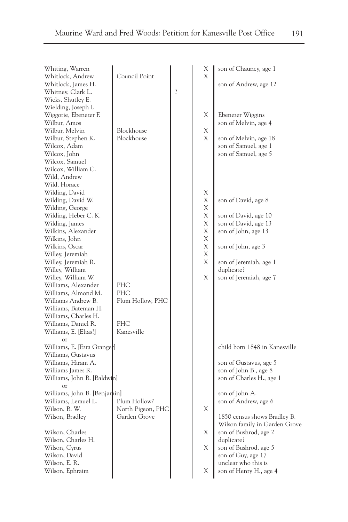| Whiting, Warren<br>Whitlock, Andrew<br>Whitlock, James H.<br>Whitney, Clark L.<br>Wicks, Shutley E.<br>Wielding, Joseph I.<br>Wiggorie, Ebenezer F.<br>Wilbur, Amos<br>Wilbur, Melvin<br>Wilbur, Stephen K.<br>Wilcox, Adam<br>Wilcox, John<br>Wilcox, Samuel<br>Wilcox, William C.<br>Wild, Andrew                                                                                                                               | Council Point<br>Blockhouse<br>Blockhouse                  | $\overline{?}$ | Х<br>X<br>Χ<br>Χ<br>X                               | son of Chauncy, age 1<br>son of Andrew, age 12<br>Ebenezer Wiggins<br>son of Melvin, age 4<br>son of Melvin, age 18<br>son of Samuel, age 1<br>son of Samuel, age 5                                                                                                                                                                                            |
|-----------------------------------------------------------------------------------------------------------------------------------------------------------------------------------------------------------------------------------------------------------------------------------------------------------------------------------------------------------------------------------------------------------------------------------|------------------------------------------------------------|----------------|-----------------------------------------------------|----------------------------------------------------------------------------------------------------------------------------------------------------------------------------------------------------------------------------------------------------------------------------------------------------------------------------------------------------------------|
| Wild, Horace<br>Wilding, David<br>Wilding, David W.<br>Wilding, George<br>Wilding, Heber C. K.<br>Wilding, James<br>Wilkins, Alexander<br>Wilkins, John<br>Wilkins, Oscar<br>Willey, Jeremiah<br>Willey, Jeremiah R.<br>Willey, William<br>Willey, William W.<br>Williams, Alexander<br>Williams, Almond M.<br>Williams Andrew B.<br>Williams, Bateman H.<br>Williams, Charles H.<br>Williams, Daniel R.<br>Williams, E. [Elias?] | PHC<br>PHC<br>Plum Hollow, PHC<br><b>PHC</b><br>Kanesville |                | Χ<br>Χ<br>Χ<br>Χ<br>Х<br>Х<br>X<br>Χ<br>Χ<br>X<br>X | son of David, age 8<br>son of David, age 10<br>son of David, age 13<br>son of John, age 13<br>son of John, age 3<br>son of Jeremiah, age 1<br>duplicate?<br>son of Jeremiah, age 7                                                                                                                                                                             |
| <sub>or</sub><br>Williams, E. [Ezra Grange]<br>Williams, Gustavus<br>Williams, Hiram A.<br>Williams James R.<br>Williams, John B. [Baldwin]<br><sub>or</sub><br>Williams, John B. [Benjamin]<br>Williams, Lemuel L.<br>Wilson, B. W.<br>Wilson, Bradley<br>Wilson, Charles<br>Wilson, Charles H.<br>Wilson, Cyrus<br>Wilson, David<br>Wilson, E. R.<br>Wilson, Ephraim                                                            | Plum Hollow?<br>North Pigeon, PHC<br>Garden Grove          |                | Χ<br>X<br>X<br>X                                    | child born 1848 in Kanesville<br>son of Gustavus, age 5<br>son of John B., age 8<br>son of Charles H., age 1<br>son of John A.<br>son of Andrew, age 6<br>1850 census shows Bradley B.<br>Wilson family in Garden Grove<br>son of Bushrod, age 2<br>duplicate?<br>son of Bushrod, age 5<br>son of Guy, age 17<br>unclear who this is<br>son of Henry H., age 4 |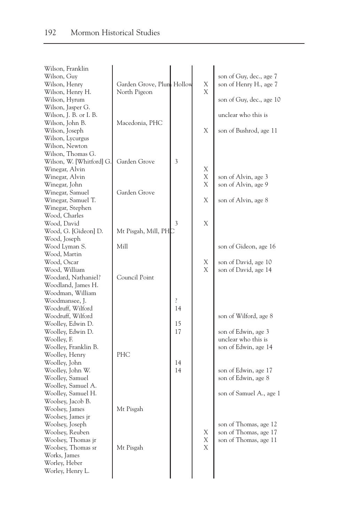| Wilson, Franklin<br>Wilson, Guy<br>Wilson, Henry<br>Wilson, Henry H.<br>Wilson, Hyrum<br>Wilson, Jasper G.<br>Wilson, J. B. or I. B.                     | Garden Grove, Plum Hollow<br>North Pigeon |                     | Χ<br>$\mathbf x$ | son of Guy, dec., age 7<br>son of Henry H., age 7<br>son of Guy, dec., age 10<br>unclear who this is |
|----------------------------------------------------------------------------------------------------------------------------------------------------------|-------------------------------------------|---------------------|------------------|------------------------------------------------------------------------------------------------------|
| Wilson, John B.<br>Wilson, Joseph<br>Wilson, Lycurgus<br>Wilson, Newton                                                                                  | Macedonia, PHC                            |                     | X                | son of Bushrod, age 11                                                                               |
| Wilson, Thomas G.<br>Wilson, W. [Whitford] G.<br>Winegar, Alvin<br>Winegar, Alvin<br>Winegar, John<br>Winegar, Samuel                                    | Garden Grove<br>Garden Grove              | 3                   | Χ<br>Χ<br>X      | son of Alvin, age 3<br>son of Alvin, age 9                                                           |
| Winegar, Samuel T.<br>Winegar, Stephen<br>Wood, Charles<br>Wood, David                                                                                   |                                           | 3                   | Χ<br>Χ           | son of Alvin, age 8                                                                                  |
| Wood, G. [Gideon] D.<br>Wood, Joseph<br>Wood Lyman S.<br>Wood, Martin<br>Wood, Oscar                                                                     | Mt Pisgah, Mill, PHC<br>Mill              |                     | Χ                | son of Gideon, age 16<br>son of David, age 10                                                        |
| Wood, William<br>Woodard, Nathaniel?<br>Woodland, James H.<br>Woodman, William                                                                           | Council Point                             |                     | X                | son of David, age 14                                                                                 |
| Woodmansee, J.<br>Woodruff, Wilford<br>Woodruff, Wilford<br>Woolley, Edwin D.<br>Woolley, Edwin D.                                                       |                                           | ŗ<br>14<br>15<br>17 |                  | son of Wilford, age 8<br>son of Edwin, age 3                                                         |
| Woolley, F.<br>Woolley, Franklin B.<br>Woolley, Henry<br>Woolley, John<br>Woolley, John W.<br>Woolley, Samuel                                            | PHC                                       | 14<br>14            |                  | unclear who this is<br>son of Edwin, age 14<br>son of Edwin, age 17<br>son of Edwin, age 8           |
| Woolley, Samuel A.<br>Woolley, Samuel H.<br>Woolsey, Jacob B.<br>Woolsey, James                                                                          | Mt Pisgah                                 |                     |                  | son of Samuel A., age 1                                                                              |
| Woolsey, James jr<br>Woolsey, Joseph<br>Woolsey, Reuben<br>Woolsey, Thomas jr<br>Woolsey, Thomas sr<br>Works, James<br>Worley, Heber<br>Worley, Henry L. | Mt Pisgah                                 |                     | Χ<br>X<br>X      | son of Thomas, age 12<br>son of Thomas, age 17<br>son of Thomas, age 11                              |
|                                                                                                                                                          |                                           |                     |                  |                                                                                                      |